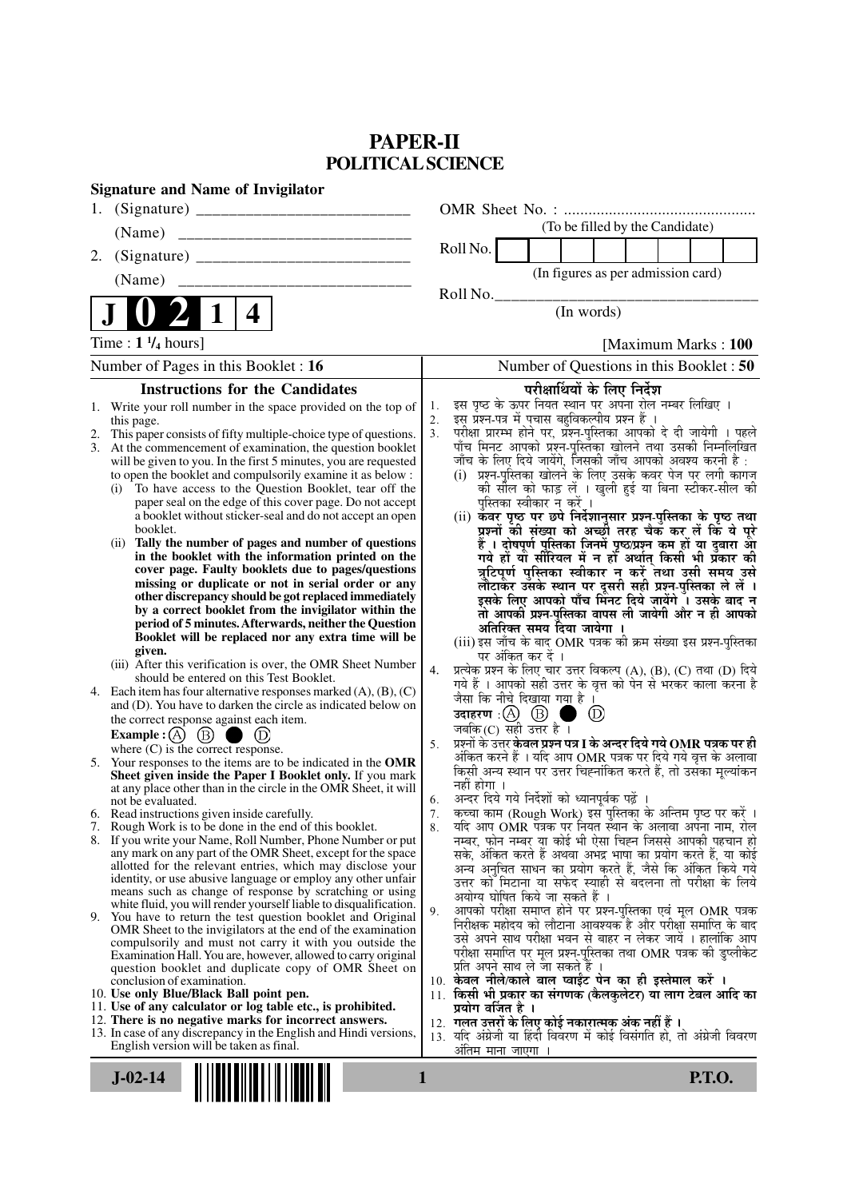## **PAPER-II POLITICAL SCIENCE**

| 1.<br>(To be filled by the Candidate)<br>(Name)<br>Roll No.<br>2.<br>(In figures as per admission card)<br>(Name)<br>_______________________________<br>Roll No.<br>(In words)<br>4<br>Time: $1\frac{1}{4}$ hours]<br>Number of Pages in this Booklet : 16<br><b>Instructions for the Candidates</b><br>परीक्षार्थियों के लिए निर्देश<br>इस पृष्ठ के ऊपर नियत स्थान पर अपना रोल नम्बर लिखिए ।<br>1.<br>1. Write your roll number in the space provided on the top of<br>इस प्रश्न-पत्र में पचास बहुविकल्पीय प्रश्न हैं ।<br>2.<br>this page.<br>3.<br>This paper consists of fifty multiple-choice type of questions.<br>2.<br>At the commencement of examination, the question booklet<br>3.<br>जाँच के लिए दिये जायेंगे, जिसकी जाँच आपको अवश्य करनी है :<br>will be given to you. In the first 5 minutes, you are requested<br>to open the booklet and compulsorily examine it as below :<br>To have access to the Question Booklet, tear off the<br>(i)<br>पुस्तिका स्वीकार न करें ।<br>paper seal on the edge of this cover page. Do not accept<br>a booklet without sticker-seal and do not accept an open<br>(ii) कवर पृष्ठ पर छपे निर्देशानुसार प्रश्न-पुस्तिका के पृष्ठ तथा<br>booklet.<br>Tally the number of pages and number of questions<br>(ii)<br>हैं । दोषपूर्ण पुस्तिका जिनमें पृष्ठ/प्रश्न कम हों या दुबारा आ<br>गये हो या सीरियल में न हो अर्थात् किसी भी प्रकार की<br>in the booklet with the information printed on the<br>cover page. Faulty booklets due to pages/questions<br>missing or duplicate or not in serial order or any<br>other discrepancy should be got replaced immediately<br>by a correct booklet from the invigilator within the<br>period of 5 minutes. Afterwards, neither the Question<br>अतिरिक्त समय दिया जायेगा<br>Booklet will be replaced nor any extra time will be<br>(iii) इस जाँच के बाद OMR पत्रक की क्रम संख्या इस प्रश्न-पुस्तिका<br>given.<br>पर अंकित कर दें ।<br>(iii) After this verification is over, the OMR Sheet Number<br>प्रत्येक प्रश्न के लिए चार उत्तर विकल्प (A), (B), (C) तथा (D) दिये<br>4.<br>should be entered on this Test Booklet.<br>गये हैं । आपको सही उत्तर के वृत्त को पेन से भरकर काला करना है<br>Each item has four alternative responses marked $(A)$ , $(B)$ , $(C)$<br>4.<br>जैसा कि नीचे दिखाया गया है ।<br>and (D). You have to darken the circle as indicated below on<br>उदाहरण: $(A)$ $(B)$<br>(D)<br>the correct response against each item.<br>जबकि (C) सही उत्तर है $\overline{1}$<br>Example : $(A)$ $(B)$ (<br>(D)<br>प्रश्नों के उत्तर <b>केवल प्रश्न पत्र I के अन्दर दिये गये OMR पत्रक पर ही</b><br>5.<br>where $(C)$ is the correct response.<br>Your responses to the items are to be indicated in the OMR<br>5.<br>Sheet given inside the Paper I Booklet only. If you mark<br>नहीं होगा ।<br>at any place other than in the circle in the OMR Sheet, it will<br>अन्दर दिये गये निर्देशों को ध्यानपूर्वक पढ़ें<br>6.<br>not be evaluated.<br>कच्चा काम (Rough Work) इस पुस्तिका के अन्तिम पृष्ठ पर करें ।<br>7.<br>6. Read instructions given inside carefully.<br>यदि आप OMR पत्रक पर नियत स्थान के अलावा अपना नाम, रोल<br>7. Rough Work is to be done in the end of this booklet.<br>8.<br>8. If you write your Name, Roll Number, Phone Number or put<br>any mark on any part of the OMR Sheet, except for the space<br>allotted for the relevant entries, which may disclose your<br>identity, or use abusive language or employ any other unfair<br>means such as change of response by scratching or using<br>अयोग्य घोषित किये जा सकते हैं ।<br>white fluid, you will render yourself liable to disqualification.<br>9.<br>9. You have to return the test question booklet and Original<br>OMR Sheet to the invigilators at the end of the examination<br>compulsorily and must not carry it with you outside the<br>Examination Hall. You are, however, allowed to carry original<br>प्रति अपने साथ ले जा सकते हैं ।<br>question booklet and duplicate copy of OMR Sheet on<br>10. केवल नीले/काले बाल प्वाईंट पेन का ही इस्तेमाल करें ।<br>conclusion of examination.<br>10. Use only Blue/Black Ball point pen.<br>11. Use of any calculator or log table etc., is prohibited.<br>प्रयोग वर्जित है ।<br>12. There is no negative marks for incorrect answers.<br>12.  गलत उत्तरों के लिए कोई नकारात्मक अंक नहीं हैं ।<br>13. In case of any discrepancy in the English and Hindi versions,<br>English version will be taken as final. | <b>Signature and Name of Invigilator</b> |                                                                                                                                                                                                                                                                  |
|---------------------------------------------------------------------------------------------------------------------------------------------------------------------------------------------------------------------------------------------------------------------------------------------------------------------------------------------------------------------------------------------------------------------------------------------------------------------------------------------------------------------------------------------------------------------------------------------------------------------------------------------------------------------------------------------------------------------------------------------------------------------------------------------------------------------------------------------------------------------------------------------------------------------------------------------------------------------------------------------------------------------------------------------------------------------------------------------------------------------------------------------------------------------------------------------------------------------------------------------------------------------------------------------------------------------------------------------------------------------------------------------------------------------------------------------------------------------------------------------------------------------------------------------------------------------------------------------------------------------------------------------------------------------------------------------------------------------------------------------------------------------------------------------------------------------------------------------------------------------------------------------------------------------------------------------------------------------------------------------------------------------------------------------------------------------------------------------------------------------------------------------------------------------------------------------------------------------------------------------------------------------------------------------------------------------------------------------------------------------------------------------------------------------------------------------------------------------------------------------------------------------------------------------------------------------------------------------------------------------------------------------------------------------------------------------------------------------------------------------------------------------------------------------------------------------------------------------------------------------------------------------------------------------------------------------------------------------------------------------------------------------------------------------------------------------------------------------------------------------------------------------------------------------------------------------------------------------------------------------------------------------------------------------------------------------------------------------------------------------------------------------------------------------------------------------------------------------------------------------------------------------------------------------------------------------------------------------------------------------------------------------------------------------------------------------------------------------------------------------------------------------------------------------------------------------------------------------------------------------------------------------------------------------------------------------------------------------------------------------------------------------------------------------------------------------------------------------------------------------------------------------------------------------------------------------------------------------------------------------------------------------------------------------------------------------------------------------------------------------------------------------------------------------------------------------------|------------------------------------------|------------------------------------------------------------------------------------------------------------------------------------------------------------------------------------------------------------------------------------------------------------------|
|                                                                                                                                                                                                                                                                                                                                                                                                                                                                                                                                                                                                                                                                                                                                                                                                                                                                                                                                                                                                                                                                                                                                                                                                                                                                                                                                                                                                                                                                                                                                                                                                                                                                                                                                                                                                                                                                                                                                                                                                                                                                                                                                                                                                                                                                                                                                                                                                                                                                                                                                                                                                                                                                                                                                                                                                                                                                                                                                                                                                                                                                                                                                                                                                                                                                                                                                                                                                                                                                                                                                                                                                                                                                                                                                                                                                                                                                                                                                                                                                                                                                                                                                                                                                                                                                                                                                                                                                                                                   |                                          |                                                                                                                                                                                                                                                                  |
|                                                                                                                                                                                                                                                                                                                                                                                                                                                                                                                                                                                                                                                                                                                                                                                                                                                                                                                                                                                                                                                                                                                                                                                                                                                                                                                                                                                                                                                                                                                                                                                                                                                                                                                                                                                                                                                                                                                                                                                                                                                                                                                                                                                                                                                                                                                                                                                                                                                                                                                                                                                                                                                                                                                                                                                                                                                                                                                                                                                                                                                                                                                                                                                                                                                                                                                                                                                                                                                                                                                                                                                                                                                                                                                                                                                                                                                                                                                                                                                                                                                                                                                                                                                                                                                                                                                                                                                                                                                   |                                          |                                                                                                                                                                                                                                                                  |
|                                                                                                                                                                                                                                                                                                                                                                                                                                                                                                                                                                                                                                                                                                                                                                                                                                                                                                                                                                                                                                                                                                                                                                                                                                                                                                                                                                                                                                                                                                                                                                                                                                                                                                                                                                                                                                                                                                                                                                                                                                                                                                                                                                                                                                                                                                                                                                                                                                                                                                                                                                                                                                                                                                                                                                                                                                                                                                                                                                                                                                                                                                                                                                                                                                                                                                                                                                                                                                                                                                                                                                                                                                                                                                                                                                                                                                                                                                                                                                                                                                                                                                                                                                                                                                                                                                                                                                                                                                                   |                                          |                                                                                                                                                                                                                                                                  |
|                                                                                                                                                                                                                                                                                                                                                                                                                                                                                                                                                                                                                                                                                                                                                                                                                                                                                                                                                                                                                                                                                                                                                                                                                                                                                                                                                                                                                                                                                                                                                                                                                                                                                                                                                                                                                                                                                                                                                                                                                                                                                                                                                                                                                                                                                                                                                                                                                                                                                                                                                                                                                                                                                                                                                                                                                                                                                                                                                                                                                                                                                                                                                                                                                                                                                                                                                                                                                                                                                                                                                                                                                                                                                                                                                                                                                                                                                                                                                                                                                                                                                                                                                                                                                                                                                                                                                                                                                                                   |                                          |                                                                                                                                                                                                                                                                  |
|                                                                                                                                                                                                                                                                                                                                                                                                                                                                                                                                                                                                                                                                                                                                                                                                                                                                                                                                                                                                                                                                                                                                                                                                                                                                                                                                                                                                                                                                                                                                                                                                                                                                                                                                                                                                                                                                                                                                                                                                                                                                                                                                                                                                                                                                                                                                                                                                                                                                                                                                                                                                                                                                                                                                                                                                                                                                                                                                                                                                                                                                                                                                                                                                                                                                                                                                                                                                                                                                                                                                                                                                                                                                                                                                                                                                                                                                                                                                                                                                                                                                                                                                                                                                                                                                                                                                                                                                                                                   |                                          |                                                                                                                                                                                                                                                                  |
|                                                                                                                                                                                                                                                                                                                                                                                                                                                                                                                                                                                                                                                                                                                                                                                                                                                                                                                                                                                                                                                                                                                                                                                                                                                                                                                                                                                                                                                                                                                                                                                                                                                                                                                                                                                                                                                                                                                                                                                                                                                                                                                                                                                                                                                                                                                                                                                                                                                                                                                                                                                                                                                                                                                                                                                                                                                                                                                                                                                                                                                                                                                                                                                                                                                                                                                                                                                                                                                                                                                                                                                                                                                                                                                                                                                                                                                                                                                                                                                                                                                                                                                                                                                                                                                                                                                                                                                                                                                   |                                          |                                                                                                                                                                                                                                                                  |
|                                                                                                                                                                                                                                                                                                                                                                                                                                                                                                                                                                                                                                                                                                                                                                                                                                                                                                                                                                                                                                                                                                                                                                                                                                                                                                                                                                                                                                                                                                                                                                                                                                                                                                                                                                                                                                                                                                                                                                                                                                                                                                                                                                                                                                                                                                                                                                                                                                                                                                                                                                                                                                                                                                                                                                                                                                                                                                                                                                                                                                                                                                                                                                                                                                                                                                                                                                                                                                                                                                                                                                                                                                                                                                                                                                                                                                                                                                                                                                                                                                                                                                                                                                                                                                                                                                                                                                                                                                                   |                                          | [Maximum Marks: 100]                                                                                                                                                                                                                                             |
|                                                                                                                                                                                                                                                                                                                                                                                                                                                                                                                                                                                                                                                                                                                                                                                                                                                                                                                                                                                                                                                                                                                                                                                                                                                                                                                                                                                                                                                                                                                                                                                                                                                                                                                                                                                                                                                                                                                                                                                                                                                                                                                                                                                                                                                                                                                                                                                                                                                                                                                                                                                                                                                                                                                                                                                                                                                                                                                                                                                                                                                                                                                                                                                                                                                                                                                                                                                                                                                                                                                                                                                                                                                                                                                                                                                                                                                                                                                                                                                                                                                                                                                                                                                                                                                                                                                                                                                                                                                   |                                          | Number of Questions in this Booklet : 50                                                                                                                                                                                                                         |
|                                                                                                                                                                                                                                                                                                                                                                                                                                                                                                                                                                                                                                                                                                                                                                                                                                                                                                                                                                                                                                                                                                                                                                                                                                                                                                                                                                                                                                                                                                                                                                                                                                                                                                                                                                                                                                                                                                                                                                                                                                                                                                                                                                                                                                                                                                                                                                                                                                                                                                                                                                                                                                                                                                                                                                                                                                                                                                                                                                                                                                                                                                                                                                                                                                                                                                                                                                                                                                                                                                                                                                                                                                                                                                                                                                                                                                                                                                                                                                                                                                                                                                                                                                                                                                                                                                                                                                                                                                                   |                                          |                                                                                                                                                                                                                                                                  |
|                                                                                                                                                                                                                                                                                                                                                                                                                                                                                                                                                                                                                                                                                                                                                                                                                                                                                                                                                                                                                                                                                                                                                                                                                                                                                                                                                                                                                                                                                                                                                                                                                                                                                                                                                                                                                                                                                                                                                                                                                                                                                                                                                                                                                                                                                                                                                                                                                                                                                                                                                                                                                                                                                                                                                                                                                                                                                                                                                                                                                                                                                                                                                                                                                                                                                                                                                                                                                                                                                                                                                                                                                                                                                                                                                                                                                                                                                                                                                                                                                                                                                                                                                                                                                                                                                                                                                                                                                                                   |                                          | परीक्षा प्रारम्भ होने पर, प्रश्न-पुस्तिका आपको दे दी जायेगी । पहले<br>पाँच मिनट आपको प्रश्न-पुस्तिका खोलने तथा उसकी निम्नलिखित                                                                                                                                   |
|                                                                                                                                                                                                                                                                                                                                                                                                                                                                                                                                                                                                                                                                                                                                                                                                                                                                                                                                                                                                                                                                                                                                                                                                                                                                                                                                                                                                                                                                                                                                                                                                                                                                                                                                                                                                                                                                                                                                                                                                                                                                                                                                                                                                                                                                                                                                                                                                                                                                                                                                                                                                                                                                                                                                                                                                                                                                                                                                                                                                                                                                                                                                                                                                                                                                                                                                                                                                                                                                                                                                                                                                                                                                                                                                                                                                                                                                                                                                                                                                                                                                                                                                                                                                                                                                                                                                                                                                                                                   |                                          | (i) प्रश्न-पुस्तिका खोलने के लिए उसके कवर पेज पर लगी कागज<br>की सील को फाड़ लें । खुली हुई या बिना स्टीकर-सील की                                                                                                                                                 |
|                                                                                                                                                                                                                                                                                                                                                                                                                                                                                                                                                                                                                                                                                                                                                                                                                                                                                                                                                                                                                                                                                                                                                                                                                                                                                                                                                                                                                                                                                                                                                                                                                                                                                                                                                                                                                                                                                                                                                                                                                                                                                                                                                                                                                                                                                                                                                                                                                                                                                                                                                                                                                                                                                                                                                                                                                                                                                                                                                                                                                                                                                                                                                                                                                                                                                                                                                                                                                                                                                                                                                                                                                                                                                                                                                                                                                                                                                                                                                                                                                                                                                                                                                                                                                                                                                                                                                                                                                                                   |                                          | प्रश्नों की संख्या को अच्छों तरह चैक कर लें कि ये पूरे                                                                                                                                                                                                           |
|                                                                                                                                                                                                                                                                                                                                                                                                                                                                                                                                                                                                                                                                                                                                                                                                                                                                                                                                                                                                                                                                                                                                                                                                                                                                                                                                                                                                                                                                                                                                                                                                                                                                                                                                                                                                                                                                                                                                                                                                                                                                                                                                                                                                                                                                                                                                                                                                                                                                                                                                                                                                                                                                                                                                                                                                                                                                                                                                                                                                                                                                                                                                                                                                                                                                                                                                                                                                                                                                                                                                                                                                                                                                                                                                                                                                                                                                                                                                                                                                                                                                                                                                                                                                                                                                                                                                                                                                                                                   |                                          | त्रुटिपूर्ण पुस्तिका स्वीकार न करें तथा उसी समय उसे<br>लौटाकेंर उसके स्थान पर दूसरी सही प्रश्न-पुस्तिका ले लें ।<br>इसके लिए आपको पाँच मिंनट दिये जायेंगे ँ। उसके बाद न<br>तो आपकी प्रश्न-पुस्तिका वापस ली जायेगी और न ही आपको                                   |
|                                                                                                                                                                                                                                                                                                                                                                                                                                                                                                                                                                                                                                                                                                                                                                                                                                                                                                                                                                                                                                                                                                                                                                                                                                                                                                                                                                                                                                                                                                                                                                                                                                                                                                                                                                                                                                                                                                                                                                                                                                                                                                                                                                                                                                                                                                                                                                                                                                                                                                                                                                                                                                                                                                                                                                                                                                                                                                                                                                                                                                                                                                                                                                                                                                                                                                                                                                                                                                                                                                                                                                                                                                                                                                                                                                                                                                                                                                                                                                                                                                                                                                                                                                                                                                                                                                                                                                                                                                                   |                                          |                                                                                                                                                                                                                                                                  |
|                                                                                                                                                                                                                                                                                                                                                                                                                                                                                                                                                                                                                                                                                                                                                                                                                                                                                                                                                                                                                                                                                                                                                                                                                                                                                                                                                                                                                                                                                                                                                                                                                                                                                                                                                                                                                                                                                                                                                                                                                                                                                                                                                                                                                                                                                                                                                                                                                                                                                                                                                                                                                                                                                                                                                                                                                                                                                                                                                                                                                                                                                                                                                                                                                                                                                                                                                                                                                                                                                                                                                                                                                                                                                                                                                                                                                                                                                                                                                                                                                                                                                                                                                                                                                                                                                                                                                                                                                                                   |                                          |                                                                                                                                                                                                                                                                  |
|                                                                                                                                                                                                                                                                                                                                                                                                                                                                                                                                                                                                                                                                                                                                                                                                                                                                                                                                                                                                                                                                                                                                                                                                                                                                                                                                                                                                                                                                                                                                                                                                                                                                                                                                                                                                                                                                                                                                                                                                                                                                                                                                                                                                                                                                                                                                                                                                                                                                                                                                                                                                                                                                                                                                                                                                                                                                                                                                                                                                                                                                                                                                                                                                                                                                                                                                                                                                                                                                                                                                                                                                                                                                                                                                                                                                                                                                                                                                                                                                                                                                                                                                                                                                                                                                                                                                                                                                                                                   |                                          |                                                                                                                                                                                                                                                                  |
|                                                                                                                                                                                                                                                                                                                                                                                                                                                                                                                                                                                                                                                                                                                                                                                                                                                                                                                                                                                                                                                                                                                                                                                                                                                                                                                                                                                                                                                                                                                                                                                                                                                                                                                                                                                                                                                                                                                                                                                                                                                                                                                                                                                                                                                                                                                                                                                                                                                                                                                                                                                                                                                                                                                                                                                                                                                                                                                                                                                                                                                                                                                                                                                                                                                                                                                                                                                                                                                                                                                                                                                                                                                                                                                                                                                                                                                                                                                                                                                                                                                                                                                                                                                                                                                                                                                                                                                                                                                   |                                          | अंकित करने हैं । यदि आप OMR पत्रक पर दिये गये वृत्त के अलावा<br>किसी अन्य स्थान पर उत्तर चिह्नांकित करते हैं, तो उसका मूल्यांकन                                                                                                                                  |
|                                                                                                                                                                                                                                                                                                                                                                                                                                                                                                                                                                                                                                                                                                                                                                                                                                                                                                                                                                                                                                                                                                                                                                                                                                                                                                                                                                                                                                                                                                                                                                                                                                                                                                                                                                                                                                                                                                                                                                                                                                                                                                                                                                                                                                                                                                                                                                                                                                                                                                                                                                                                                                                                                                                                                                                                                                                                                                                                                                                                                                                                                                                                                                                                                                                                                                                                                                                                                                                                                                                                                                                                                                                                                                                                                                                                                                                                                                                                                                                                                                                                                                                                                                                                                                                                                                                                                                                                                                                   |                                          |                                                                                                                                                                                                                                                                  |
|                                                                                                                                                                                                                                                                                                                                                                                                                                                                                                                                                                                                                                                                                                                                                                                                                                                                                                                                                                                                                                                                                                                                                                                                                                                                                                                                                                                                                                                                                                                                                                                                                                                                                                                                                                                                                                                                                                                                                                                                                                                                                                                                                                                                                                                                                                                                                                                                                                                                                                                                                                                                                                                                                                                                                                                                                                                                                                                                                                                                                                                                                                                                                                                                                                                                                                                                                                                                                                                                                                                                                                                                                                                                                                                                                                                                                                                                                                                                                                                                                                                                                                                                                                                                                                                                                                                                                                                                                                                   |                                          |                                                                                                                                                                                                                                                                  |
|                                                                                                                                                                                                                                                                                                                                                                                                                                                                                                                                                                                                                                                                                                                                                                                                                                                                                                                                                                                                                                                                                                                                                                                                                                                                                                                                                                                                                                                                                                                                                                                                                                                                                                                                                                                                                                                                                                                                                                                                                                                                                                                                                                                                                                                                                                                                                                                                                                                                                                                                                                                                                                                                                                                                                                                                                                                                                                                                                                                                                                                                                                                                                                                                                                                                                                                                                                                                                                                                                                                                                                                                                                                                                                                                                                                                                                                                                                                                                                                                                                                                                                                                                                                                                                                                                                                                                                                                                                                   |                                          | नम्बर, फोन नम्बर या कोई भी ऐसा चिह्न जिससे आपकी पहचान हो<br>सके, अंकित करते हैं अथवा अभद्र भाषा का प्रयोग करते हैं, या कोई<br>अन्य अनुचित साधन का प्रयोग करते हैं, जैसे कि अंकित किये गये<br>उत्तर को मिटाना या सफेद स्याही से बदलना तो परीक्षा के लिये          |
|                                                                                                                                                                                                                                                                                                                                                                                                                                                                                                                                                                                                                                                                                                                                                                                                                                                                                                                                                                                                                                                                                                                                                                                                                                                                                                                                                                                                                                                                                                                                                                                                                                                                                                                                                                                                                                                                                                                                                                                                                                                                                                                                                                                                                                                                                                                                                                                                                                                                                                                                                                                                                                                                                                                                                                                                                                                                                                                                                                                                                                                                                                                                                                                                                                                                                                                                                                                                                                                                                                                                                                                                                                                                                                                                                                                                                                                                                                                                                                                                                                                                                                                                                                                                                                                                                                                                                                                                                                                   |                                          | आपको परीक्षा समाप्त होने पर प्रश्न-पुस्तिका एवं मूल OMR पत्रक<br>निरीक्षक महोदय को लौटाना आवश्यक है और परीक्षा समाप्ति के बाद<br>उसे अपने साथ परीक्षा भवन से बाहर न लेकर जायें । हालांकि आप<br>परीक्षा समाप्ति पर मूल प्रश्न-पुस्तिका तथा OMR पत्रक की डुप्लीकेट |
|                                                                                                                                                                                                                                                                                                                                                                                                                                                                                                                                                                                                                                                                                                                                                                                                                                                                                                                                                                                                                                                                                                                                                                                                                                                                                                                                                                                                                                                                                                                                                                                                                                                                                                                                                                                                                                                                                                                                                                                                                                                                                                                                                                                                                                                                                                                                                                                                                                                                                                                                                                                                                                                                                                                                                                                                                                                                                                                                                                                                                                                                                                                                                                                                                                                                                                                                                                                                                                                                                                                                                                                                                                                                                                                                                                                                                                                                                                                                                                                                                                                                                                                                                                                                                                                                                                                                                                                                                                                   |                                          | 11. किसी भी प्रकार का संगणक (कैलकुलेटर) या लाग टेबल आदि का                                                                                                                                                                                                       |
|                                                                                                                                                                                                                                                                                                                                                                                                                                                                                                                                                                                                                                                                                                                                                                                                                                                                                                                                                                                                                                                                                                                                                                                                                                                                                                                                                                                                                                                                                                                                                                                                                                                                                                                                                                                                                                                                                                                                                                                                                                                                                                                                                                                                                                                                                                                                                                                                                                                                                                                                                                                                                                                                                                                                                                                                                                                                                                                                                                                                                                                                                                                                                                                                                                                                                                                                                                                                                                                                                                                                                                                                                                                                                                                                                                                                                                                                                                                                                                                                                                                                                                                                                                                                                                                                                                                                                                                                                                                   |                                          | 13. यदि अंग्रेजी या हिंदी विवरण में कोई विसंगति हो, तो अंग्रेजी विवरण<br>अंतिम माना जाएगा                                                                                                                                                                        |
| 1<br><b>P.T.O.</b><br>$J-02-14$                                                                                                                                                                                                                                                                                                                                                                                                                                                                                                                                                                                                                                                                                                                                                                                                                                                                                                                                                                                                                                                                                                                                                                                                                                                                                                                                                                                                                                                                                                                                                                                                                                                                                                                                                                                                                                                                                                                                                                                                                                                                                                                                                                                                                                                                                                                                                                                                                                                                                                                                                                                                                                                                                                                                                                                                                                                                                                                                                                                                                                                                                                                                                                                                                                                                                                                                                                                                                                                                                                                                                                                                                                                                                                                                                                                                                                                                                                                                                                                                                                                                                                                                                                                                                                                                                                                                                                                                                   |                                          |                                                                                                                                                                                                                                                                  |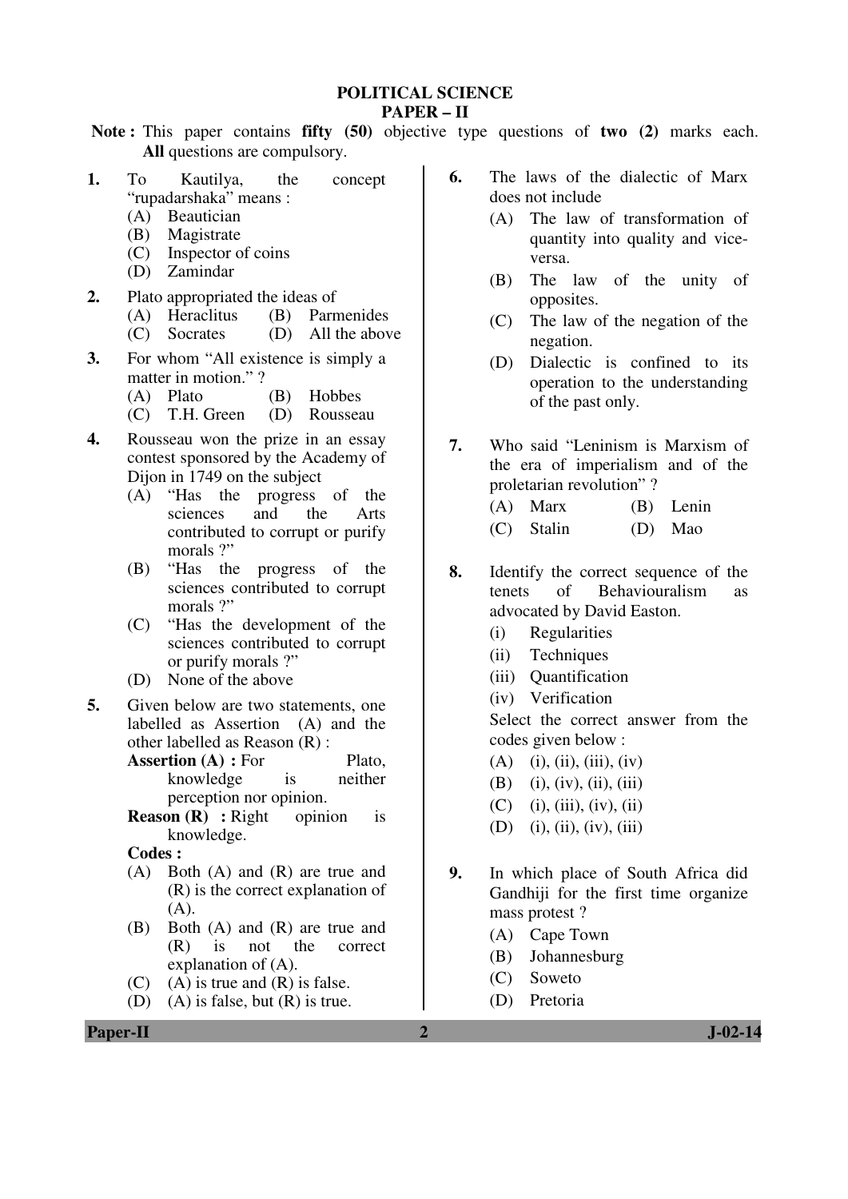**POLITICAL SCIENCE** 

## **PAPER – II**

**Note :** This paper contains **fifty (50)** objective type questions of **two (2)** marks each. **All** questions are compulsory.

- **1.** To Kautilya, the concept "rupadarshaka" means :<br>(A) Beautician
	- Beautician
	- (B) Magistrate
	- (C) Inspector of coins
	- (D) Zamindar
- **2.** Plato appropriated the ideas of
	- (A) Heraclitus (B) Parmenides
	- (C) Socrates (D) All the above
- **3.** For whom "All existence is simply a matter in motion." ?
	-
	- (A) Plato (B) Hobbes<br>(C) T.H. Green (D) Rousseau  $(C)$  T.H. Green
- **4.** Rousseau won the prize in an essay contest sponsored by the Academy of Dijon in 1749 on the subject
	- (A) "Has the progress of the sciences and the Arts contributed to corrupt or purify morals ?"
	- (B) "Has the progress of the sciences contributed to corrupt morals ?"
	- (C) "Has the development of the sciences contributed to corrupt or purify morals ?"
	- (D) None of the above
- **5.** Given below are two statements, one labelled as Assertion (A) and the other labelled as Reason (R) :
	- **Assertion (A) : For Plato,** knowledge is neither perception nor opinion.
	- **Reason (R)** : Right opinion is knowledge.

**Codes :** 

- (A) Both (A) and (R) are true and (R) is the correct explanation of  $(A)$ .
- (B) Both (A) and (R) are true and (R) is not the correct explanation of (A).
- $(C)$  (A) is true and  $(R)$  is false.
- (D) (A) is false, but (R) is true.
- **6.** The laws of the dialectic of Marx does not include
	- (A) The law of transformation of quantity into quality and viceversa.
	- (B) The law of the unity of opposites.
	- (C) The law of the negation of the negation.
	- (D) Dialectic is confined to its operation to the understanding of the past only.
- **7.** Who said "Leninism is Marxism of the era of imperialism and of the proletarian revolution" ?
	- (A) Marx (B) Lenin (C) Stalin (D) Mao
- **8.** Identify the correct sequence of the tenets of Behaviouralism as advocated by David Easton.
	- (i) Regularities
	- (ii) Techniques
	- (iii) Quantification
	- (iv) Verification

Select the correct answer from the codes given below :

- $(A)$  (i), (ii), (iii), (iv)
- $(B)$  (i), (iv), (ii), (iii)
- $(C)$  (i), (iii), (iv), (ii)
- $(D)$  (i), (ii), (iv), (iii)
- **9.** In which place of South Africa did Gandhiji for the first time organize mass protest ?
	- (A) Cape Town
	- (B) Johannesburg
	- (C) Soweto
	- (D) Pretoria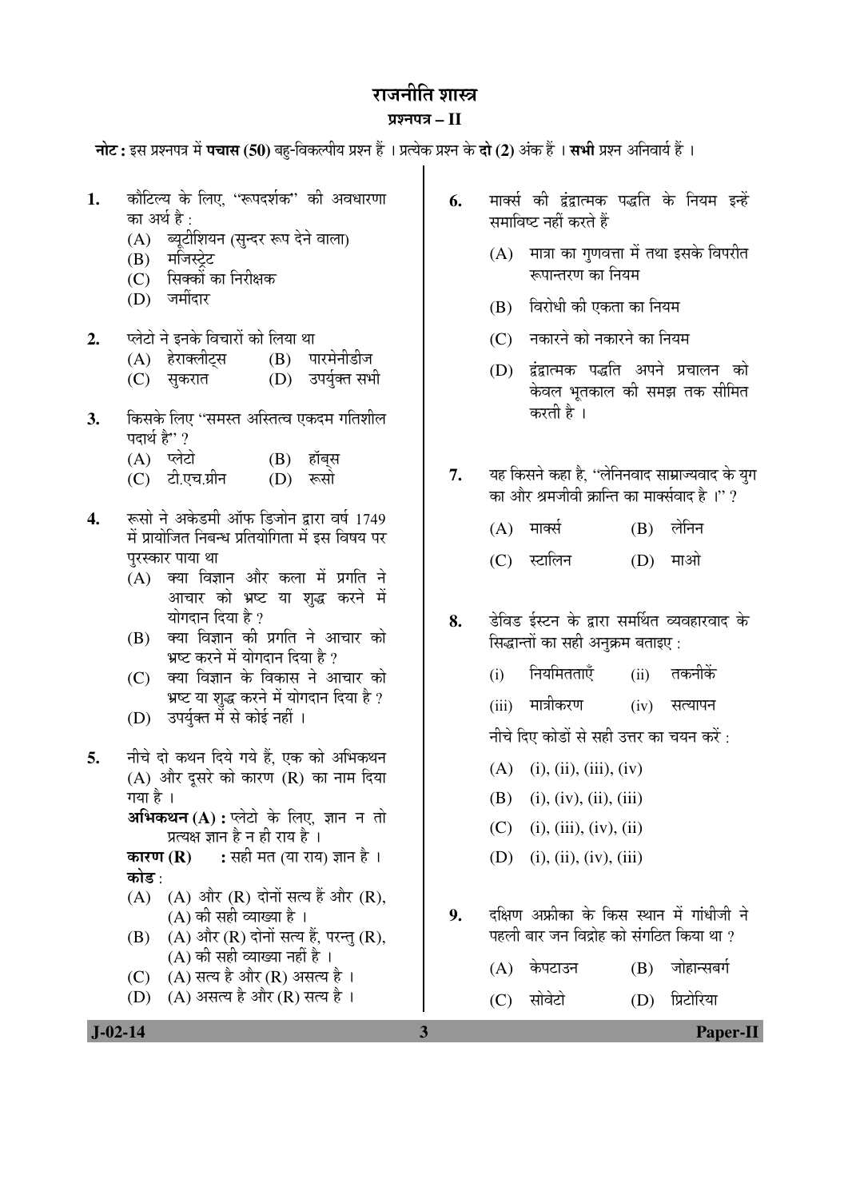# राजनीति शास्त्र

## ¯ÖÏ¿®Ö¯Ö¡Ö **– II**

**नोट:** इस प्रश्नपत्र में **पचास (50)** बह-विकल्पीय प्रश्न हैं । प्रत्येक प्रश्न के **दो (2)** अंक हैं । **सभी** प्रश्न अनिवार्य हैं ।

- 1. कौटिल्य के लिए. "रूपदर्शक" की अवधारणा का अर्थ है  $\cdot$ 
	- (A) ब्यूटीशियन (सुन्दर रूप देने वाला)
	- $(B)$  मजिस्टेट
	- $(C)$  सिक्कों का निरीक्षक<br>(D) जमींदार
	- जमींदार
- 2. प्लेटो ने इनके विचारों को लिया था
	- (A) हेराक्लीट्स (B) पारमेनीडीज
	- (C) सुकरात (D) उपर्युक्त सभी
- **3.** किसके लिए ''समस्त अस्तित्व एकदम गतिशील पदार्थ है"?
	-
	- (A) प्लेटो (B) हॉब्स<br>(C) टी.एच.ग्रीन (D) रूसो (C) टी.एच.ग्रीन
- 4. स्वयों ने अकेडमी ऑफ डिजोन द्वारा वर्ष 1749 में प्रायोजित निबन्ध प्रतियोगिता में इस विषय पर परस्कार पाया था
	- $(A)$  क्या विज्ञान और कला में प्रगति ने आचार को भ्रष्ट या शृद्ध करने में योगदान दिया है ?
	- $(B)$  क्या विज्ञान की प्रगति ने आचार को भ्रष्ट करने में योगदान दिया है ?
	- (C) क्या विज्ञान के विकास ने आचार को भष्ट या शुद्ध करने में योगदान दिया है ?
	- (D) उपर्युक्त में से कोई नहीं ।
- 5. नीचे दो कथन दिये गये हैं. एक को अभिकथन  $(A)$  और दुसरे को कारण  $(R)$  का नाम दिया गया है ।
	- **अभिकथन (A) :** प्लेटो के लिए, ज्ञान न तो प्रत्यक्ष ज्ञान है न ही राय है ।<br>**कारण (R) :** सही मत (या राय
	- **:** सही मत (या राय) ज्ञान है । कोड $\cdot$
	- $(A)$   $(A)$  और  $(R)$  दोनों सत्य हैं और  $(R)$ ,  $(A)$  की सही व्याख्या है ।
	- $(B)$   $(A)$  और  $(R)$  दोनों सत्य हैं, परन्तु  $(R)$ ,  $(A)$  की सही व्याख्या नहीं है ।
	- (C)  $(A)$  सत्य है और (R) असत्य है।
	- (D)  $(A)$  असत्य है और (R) सत्य है।
- 6. मार्क्स की द्वंद्वात्मक पद्धति के नियम इन्हें समाविष्ट नहीं करते हैं
	- $(A)$  मात्रा का गुणवत्ता में तथा इसके विपरीत रूपान्तरण का नियम
	- $(B)$  विरोधी की एकता का नियम
	- $(C)$  नकारने को नकारने का नियम
	- (D) द्वंद्वात्मक पद्धति अपने प्रचालन को केवल भूतकाल की समझ तक सीमित करती है ।
- **7.** यह किसने कहा है, ''लेनिनवाद साम्राज्यवाद के युग का और श्रमजीवी क्रान्ति का मार्क्सवाद है $\,$ ।'' ?
	- $(A)$  मार्क्स  $(B)$  लेनिन
	- (C) स्टालिन (D) माओ
- **8.** ›êü×¾Ö›ü ‡ÔÙü®Ö Ûêú «üÖ¸üÖ ÃÖ´ÖÙ£ÖŸÖ ¾µÖ¾ÖÆüÖ¸ü¾ÖÖ¤ü Ûêú सिद्धान्तों का सही अनुक्रम बताइए :
	- (i) नियमितताएँ (ii) तकनीकें
	- (iii) मात्रीकरण (iv) सत्यापन

नीचे दिए कोडों से सही उत्तर का चयन करें :

- $(A)$  (i), (ii), (iii), (iv)
- (B) (i), (iv), (ii), (iii)
- $(C)$  (i), (iii), (iv), (ii)
- (D) (i), (ii), (iv), (iii)
- 9. दक्षिण अफ्रीका के किस स्थान में गांधीजी ने पहली बार जन विद्रोह को संगठित किया था ?

 $(A)$  केपटाउन  $(B)$  जोहान्सबर्ग

(C) सोवेटो (D) प्रिटोरिया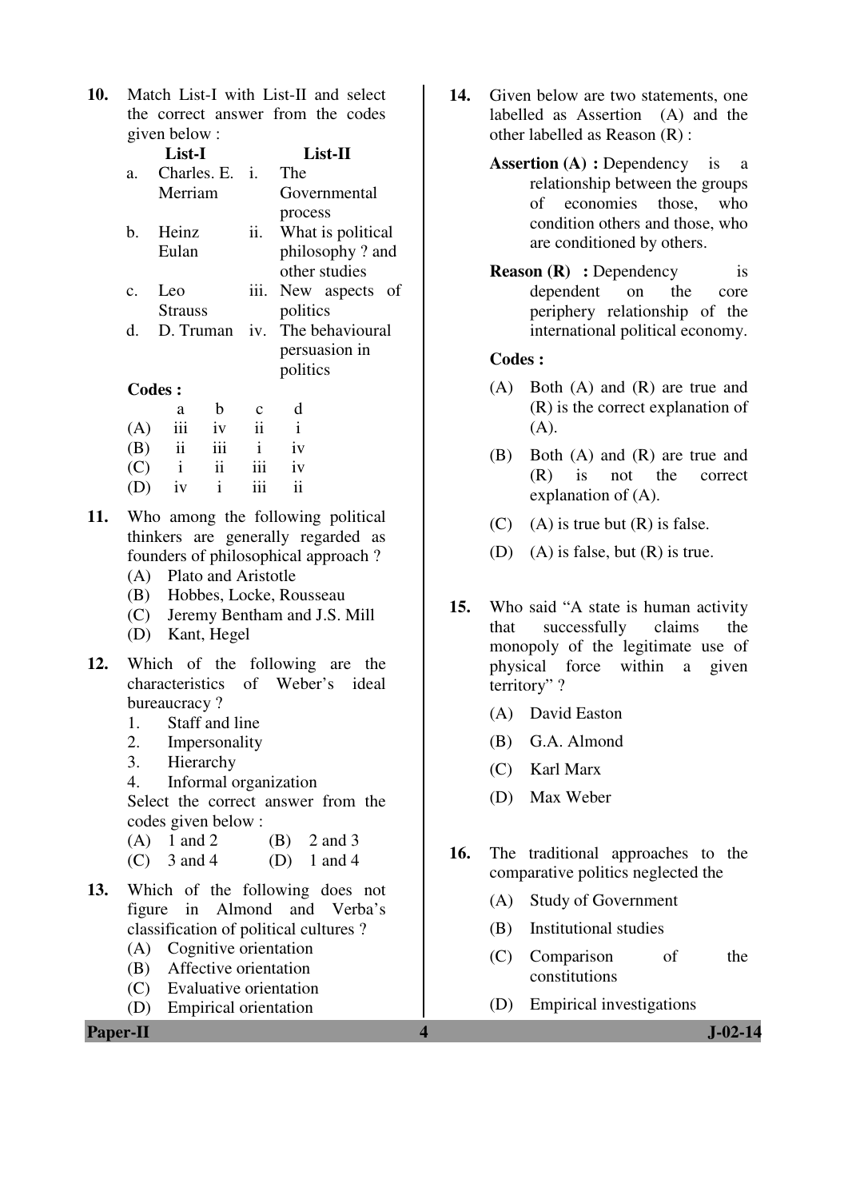**10.** Match List-I with List-II and select the correct answer from the codes given below :

|                 | List-I         |                   | List-II           |
|-----------------|----------------|-------------------|-------------------|
| a.              | Charles. E.    | $\mathbf{i}$      | The               |
|                 | Merriam        |                   | Governmental      |
|                 |                |                   | process           |
| b.              | Heinz          | ii.               | What is political |
|                 | Eulan          |                   | philosophy? and   |
|                 |                |                   | other studies     |
| $\mathcal{C}$ . | Leo            | iii.              | New aspects of    |
|                 | <b>Strauss</b> |                   | politics          |
| d.              | D. Truman      | $\overline{1}V$ . | The behavioural   |
|                 |                |                   | persuasion in     |
|                 |                |                   | politics          |
|                 | Codes:         |                   |                   |
|                 |                |                   |                   |

|     | a                       | h             | c              | d  |
|-----|-------------------------|---------------|----------------|----|
| (A) | iii                     | iv            | $\ddot{\rm n}$ | i  |
| (B) | $\overline{\mathbf{u}}$ | iii           | $\mathbf{i}$   | iv |
| (C) | $\mathbf{i}$            | $\mathbf{ii}$ | 111            | iv |
| (D) | iv                      | $\mathbf{i}$  | iii            | ii |

- **11.** Who among the following political thinkers are generally regarded as founders of philosophical approach ?
	- (A) Plato and Aristotle
	- (B) Hobbes, Locke, Rousseau
	- (C) Jeremy Bentham and J.S. Mill
	- (D) Kant, Hegel
- **12.** Which of the following are the characteristics of Weber's ideal bureaucracy ?
	- 1. Staff and line<br>2. Impersonality
	- **Impersonality**
	- 3. Hierarchy
	- 4. Informal organization

 Select the correct answer from the codes given below :

- (A)  $1$  and  $2$  (B)  $2$  and  $3$
- (C)  $3 \text{ and } 4$  (D)  $1 \text{ and } 4$
- **13.** Which of the following does not figure in Almond and Verba's classification of political cultures ?
	- (A) Cognitive orientation
	- (B) Affective orientation
	- (C) Evaluative orientation
	- (D) Empirical orientation
- **14.** Given below are two statements, one labelled as Assertion (A) and the other labelled as Reason (R) :
	- **Assertion (A) : Dependency** is a relationship between the groups of economies those, who condition others and those, who are conditioned by others.
	- **Reason (R)** : Dependency is dependent on the core periphery relationship of the international political economy.

#### **Codes :**

- (A) Both (A) and (R) are true and (R) is the correct explanation of  $(A)$ .
- (B) Both (A) and (R) are true and (R) is not the correct explanation of (A).
- (C) (A) is true but  $(R)$  is false.
- (D) (A) is false, but (R) is true.
- **15.** Who said "A state is human activity that successfully claims the monopoly of the legitimate use of physical force within a given territory" ?
	- (A) David Easton
	- (B) G.A. Almond
	- (C) Karl Marx
	- (D) Max Weber
- **16.** The traditional approaches to the comparative politics neglected the
	- (A) Study of Government
	- (B) Institutional studies
	- (C) Comparison of the constitutions
	- (D) Empirical investigations

**Paper-II 1. J**-02-14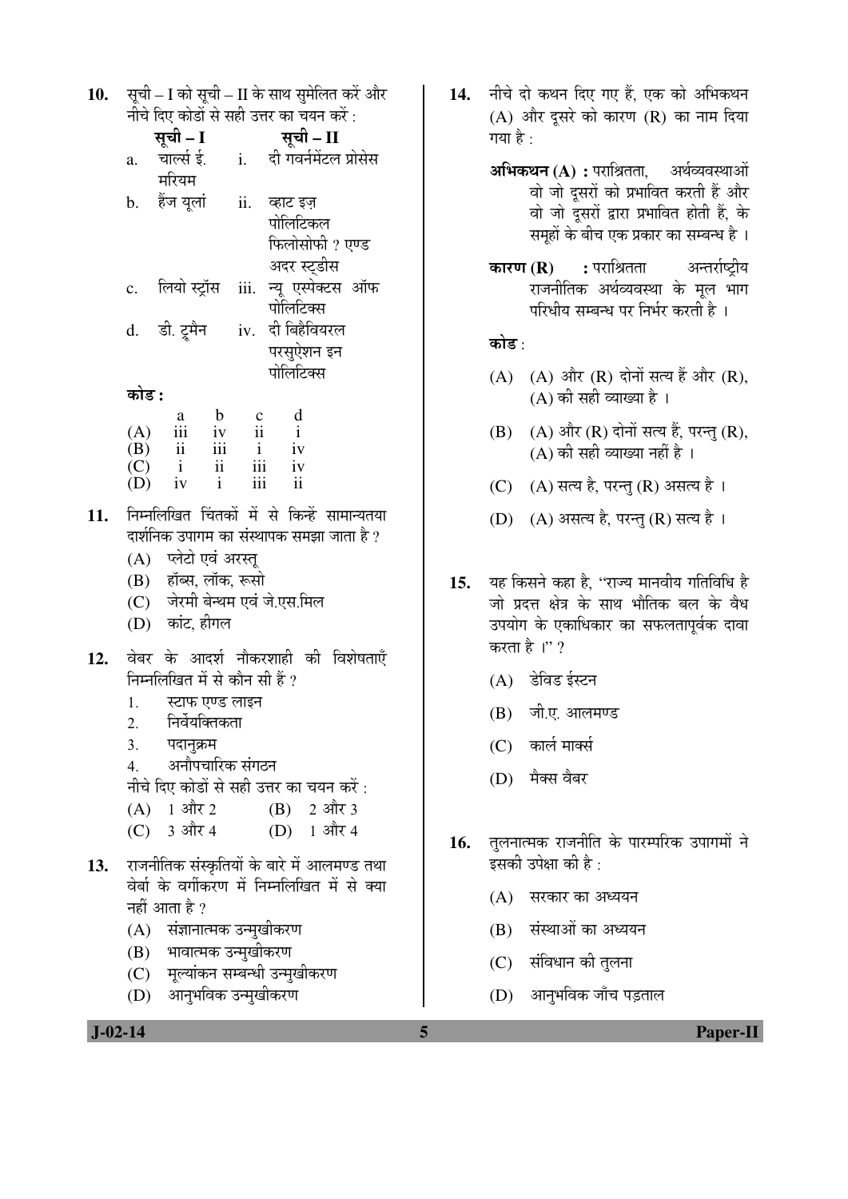| 10. सूची – I को सूची – II के साथ सुमेलित करें और |
|--------------------------------------------------|
| नीचे दिए कोडों से सही उत्तर का चयन करें :        |

|                | सूची – I      |     | सूची – II              |
|----------------|---------------|-----|------------------------|
| a.             | चार्ल्स ई.    | i.  | दी गवर्नमेंटल प्रोसेस  |
|                | मरियम         |     |                        |
|                | b. हैंज यूलां | ii. | व्हाट इज़              |
|                |               |     | पोलिटिकल               |
|                |               |     | फिलोसोफी ? एण्ड        |
|                |               |     | अदर स्ट्डीस            |
| $\mathbf{c}$ . | लियो स्ट्रॉस  |     | iii. न्यू एस्पेक्टस ऑफ |
|                |               |     | पोलिटिक्स              |
|                | d. डी. ट्रमैन |     | iv. दी बिहैवियरल       |
|                |               |     | परसुऐशन इन             |
|                |               |     | पोलिटिक्स              |
| काड :          |               |     |                        |

|     | a   | h   | с   | d  |
|-----|-----|-----|-----|----|
| (A) | 111 | iv  | ii  |    |
| (B) | ii  | 111 |     | iv |
| (C) | i   | ii  | iii | iv |
| (D) | iv  |     | 111 | ii |

- निम्नलिखित चिंतकों में से किन्हें सामान्यतया  $11.$ दार्शनिक उपागम का संस्थापक समझा जाता है ?
	- (A) प्लेटो एवं अरस्तू
	- (B) हॉब्स, लॉक, रूसो
	- (C) जेरमी बेन्थम एवं जे.एस.मिल
	- (D) कांट, हीगल
- वेबर के आदर्श नौकरशाही की विशेषताएँ 12. निम्नलिखित में से कौन सी हैं ?
	- स्टाफ एण्ड लाइन  $1.$
	- निर्वेयक्तिकता  $\overline{2}$ .
	- $\overline{3}$ . पदानुक्रम
	- अनौपचारिक संगठन  $\overline{4}$ .
	- नीचे दिए कोडों से सही उत्तर का चयन करें :
	- $(A)$  1 और 2  $(B)$  2 और 3
	- (C)  $3 \text{ and } 4$  $(D)$  1 और 4
- 13. राजनीतिक संस्कृतियों के बारे में आलमण्ड तथा वेर्बा के वर्गीकरण में निम्नलिखित में से क्या नहीं आता है ?
	- (A) संज्ञानात्मक उन्मुखीकरण
	- (B) भावात्मक उन्मुखीकरण
	- (C) मुल्यांकन सम्बन्धी उन्मुखीकरण
	- (D) आनुभविक उन्मुखीकरण
- 14. नीचे दो कथन दिए गए हैं. एक को अभिकथन (A) और दूसरे को कारण (R) का नाम दिया गया है :
	- **अभिकथन (A) :** पराश्रितता. अर्थव्यवस्थाओं वो जो दूसरों को प्रभावित करती हैं और वो जो दुसरों द्वारा प्रभावित होती हैं, के समहों के बीच एक प्रकार का सम्बन्ध है ।
	- : पराश्रितता अन्तर्राष्ट्रीय कारण  $(R)$ राजनीतिक अर्थव्यवस्था के मूल भाग परिधीय सम्बन्ध पर निर्भर करती है ।

## कोड़ $\cdot$

- (A) (A) और (R) दोनों सत्य हैं और (R),  $(A)$  की सही व्याख्या है।
- (B) (A) और (R) दोनों सत्य हैं, परन्तु (R), (A) की सही व्याख्या नहीं है ।
- (C) (A) सत्य है, परन्तु (R) असत्य है।
- (D) (A) असत्य है, परन्तु (R) सत्य है।
- यह किसने कहा है, ''राज्य मानवीय गतिविधि है  $15.$ जो प्रदत्त क्षेत्र के साथ भौतिक बल के वैध उपयोग के एकाधिकार का सफलतापर्वक दावा करता है।"?
	- (A) डेविड ईस्टन
	- (B) जी.ए. आलमण्ड
	- $(C)$  कार्ल मार्क्स
	- (D) मैक्स वैबर
- तुलनात्मक राजनीति के पारम्परिक उपागमों ने 16. इसकी उपेक्षा की है :
	- (A) सरकार का अध्ययन
	- (B) संस्थाओं का अध्ययन
	- (C) संविधान की तुलना

5

(D) आनुभविक जाँच पड़ताल

**Paper-II**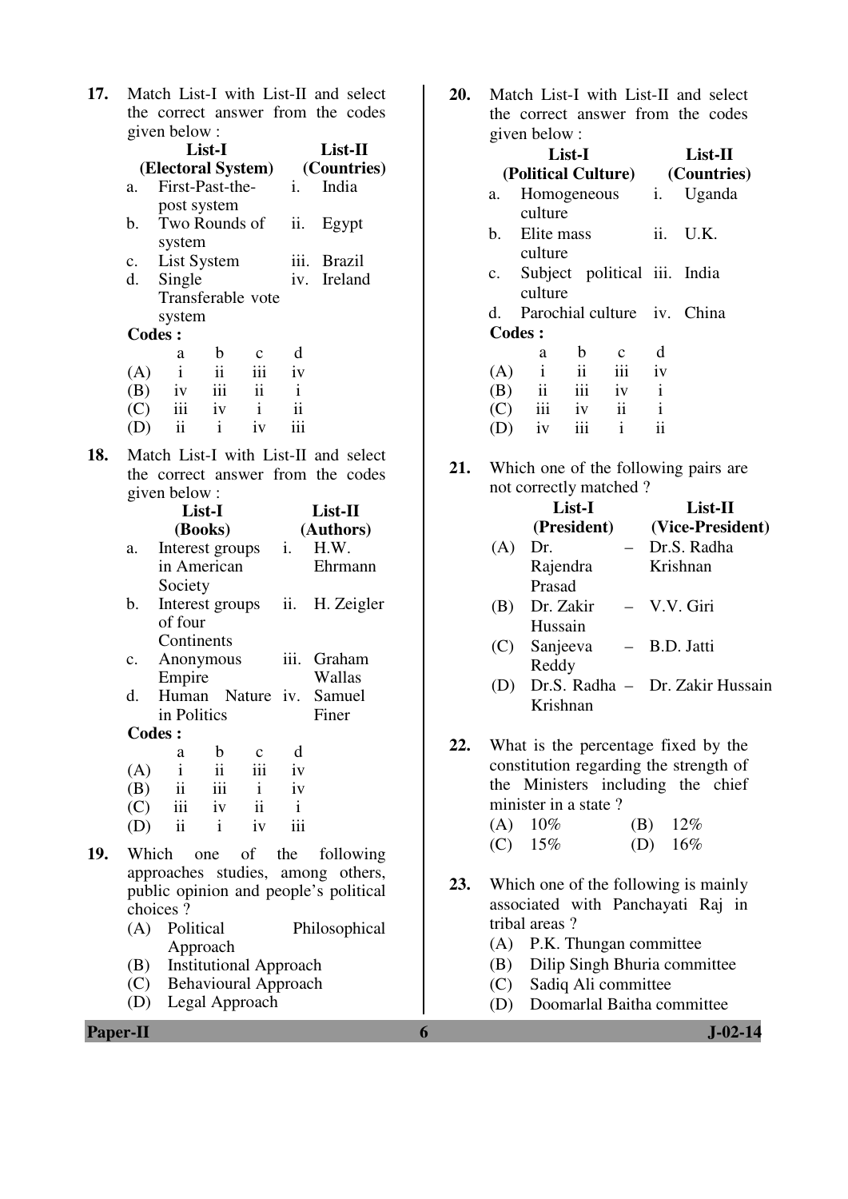| 17. Match List-I with List-II and select |  |
|------------------------------------------|--|
| the correct answer from the codes        |  |
| given below :                            |  |

|                | List-I             |               |                |                | List-II       |
|----------------|--------------------|---------------|----------------|----------------|---------------|
|                | (Electoral System) |               |                |                | (Countries)   |
| a.             | First-Past-the-    |               |                | $\mathbf{1}$ . | India         |
|                | post system        |               |                |                |               |
| $\mathbf{b}$ . | Two Rounds of      |               |                | ii.            | Egypt         |
|                | system             |               |                |                |               |
|                | c. List System     |               |                | iii.           | <b>Brazil</b> |
| d.             | Single             |               |                |                | iv. Ireland   |
|                | Transferable vote  |               |                |                |               |
|                | system             |               |                |                |               |
|                | <b>Codes:</b>      |               |                |                |               |
|                | a                  | b             |                | d              |               |
| (A)            | $\mathbf{i}$       | $\mathbf{ii}$ | iii            | iv             |               |
| (B)            | iv                 | $\,$ iii      | $\ddot{\rm n}$ | $\mathbf{i}$   |               |
| (C)            | iii                | iv            | $\mathbf{i}$   | ii             |               |
|                | ii                 | i             | iv             |                |               |

**18.** Match List-I with List-II and select the correct answer from the codes given below :

|     |     | List-I                  |                           |              |              | List-II                                                                                                                                                       |  |  |
|-----|-----|-------------------------|---------------------------|--------------|--------------|---------------------------------------------------------------------------------------------------------------------------------------------------------------|--|--|
|     |     | (Books)                 |                           |              |              | (Authors)                                                                                                                                                     |  |  |
|     | a.  |                         | Interest groups <i>i.</i> |              |              | H.W.                                                                                                                                                          |  |  |
|     |     |                         | in American               |              |              | Ehrmann                                                                                                                                                       |  |  |
|     |     | Society                 |                           |              |              |                                                                                                                                                               |  |  |
|     | b.  |                         | Interest groups ii.       |              |              | H. Zeigler                                                                                                                                                    |  |  |
|     |     | of four                 |                           |              |              |                                                                                                                                                               |  |  |
|     |     |                         | Continents                |              |              |                                                                                                                                                               |  |  |
|     | c.  |                         | Anonymous                 |              |              | iii. Graham                                                                                                                                                   |  |  |
|     |     | Empire                  |                           |              |              | Wallas                                                                                                                                                        |  |  |
|     | d.  |                         |                           |              |              | Human Nature iv. Samuel                                                                                                                                       |  |  |
|     |     |                         | in Politics               |              |              | Finer                                                                                                                                                         |  |  |
|     |     | <b>Codes:</b>           |                           |              |              |                                                                                                                                                               |  |  |
|     |     | a                       | $\mathbf b$               | $\mathbf{c}$ | d            |                                                                                                                                                               |  |  |
|     | (A) | $\,$ i $\,$             | ii                        | iii          | iv           |                                                                                                                                                               |  |  |
|     | (B) |                         | $ii$ $iii$ $i$            |              | iv           |                                                                                                                                                               |  |  |
|     |     |                         | $(C)$ iii iv ii           |              | $\mathbf{i}$ |                                                                                                                                                               |  |  |
|     | (D) | $\overline{\mathbf{u}}$ | $\mathbf{i}$              | iv           | iii          |                                                                                                                                                               |  |  |
| 19. |     |                         | Which one of the          |              |              | following                                                                                                                                                     |  |  |
|     |     |                         |                           |              |              | $\frac{1}{2}$ , $\frac{1}{2}$ , $\frac{1}{2}$ , $\frac{1}{2}$ , $\frac{1}{2}$ , $\frac{1}{2}$ , $\frac{1}{2}$ , $\frac{1}{2}$ , $\frac{1}{2}$ , $\frac{1}{2}$ |  |  |

- approaches studies, among others, public opinion and people's political choices ?<br>(A) Political
	- Philosophical Approach
	- (B) Institutional Approach
	- (C) Behavioural Approach
	- (D) Legal Approach

**20.** Match List-I with List-II and select the correct answer from the codes given below :

|        | $H$ , on done $\cdots$  |                     |                              |              |                             |  |  |
|--------|-------------------------|---------------------|------------------------------|--------------|-----------------------------|--|--|
|        | List-I                  |                     | $List-II$                    |              |                             |  |  |
|        | (Political Culture)     |                     |                              |              | (Countries)                 |  |  |
| a.     |                         |                     | Homogeneous <i>i.</i>        |              | Uganda                      |  |  |
|        | culture                 |                     |                              |              |                             |  |  |
| b.     | Elite mass              |                     |                              | ii.          | U.K.                        |  |  |
|        | culture                 |                     |                              |              |                             |  |  |
| c.     |                         |                     | Subject political iii. India |              |                             |  |  |
|        | culture                 |                     |                              |              |                             |  |  |
| d.     |                         |                     |                              |              | Parochial culture iv. China |  |  |
| Codes: |                         |                     |                              |              |                             |  |  |
|        | a                       | b                   | $\mathbf c$                  | d            |                             |  |  |
| (A)    | $\mathbf{i}$            | $\ddot{\mathbf{i}}$ | iii                          | iv           |                             |  |  |
| (B)    | $\overline{\mathbf{i}}$ | iii                 | iv                           | $\mathbf{i}$ |                             |  |  |
|        | $(C)$ iii               | iv                  | $\overline{\mathbf{ii}}$     | $\mathbf{i}$ |                             |  |  |
|        | iv                      | iii                 | i                            | ii           |                             |  |  |

**21.** Which one of the following pairs are not correctly matched ?

|     |           | List-I<br>(President)                                                                                                                      |  | List-II     | (Vice-President) |
|-----|-----------|--------------------------------------------------------------------------------------------------------------------------------------------|--|-------------|------------------|
|     | $(A)$ Dr. |                                                                                                                                            |  | Dr.S. Radha |                  |
|     |           | Rajendra                                                                                                                                   |  | Krishnan    |                  |
|     |           | Prasad                                                                                                                                     |  |             |                  |
|     |           | (B) Dr. Zakir – V.V. Giri                                                                                                                  |  |             |                  |
|     |           | Hussain                                                                                                                                    |  |             |                  |
|     |           | (C) Sanjeeva – B.D. Jatti                                                                                                                  |  |             |                  |
|     |           | Reddy                                                                                                                                      |  |             |                  |
|     |           | (D) Dr.S. Radha - Dr. Zakir Hussain                                                                                                        |  |             |                  |
|     |           | Krishnan                                                                                                                                   |  |             |                  |
| 22. |           | What is the percentage fixed by the<br>constitution regarding the strength of<br>the Ministers including the chief<br>minister in a state? |  |             |                  |
|     |           | $(A)$ 10%                                                                                                                                  |  | (B) $12\%$  |                  |
|     |           | $(C) 15\%$                                                                                                                                 |  | (D) $16\%$  |                  |
|     |           |                                                                                                                                            |  |             |                  |

- **23.** Which one of the following is mainly associated with Panchayati Raj in tribal areas ?
	- (A) P.K. Thungan committee
	- (B) Dilip Singh Bhuria committee
	- (C) Sadiq Ali committee
	- (D) Doomarlal Baitha committee

**Paper-II 6 J-02-14**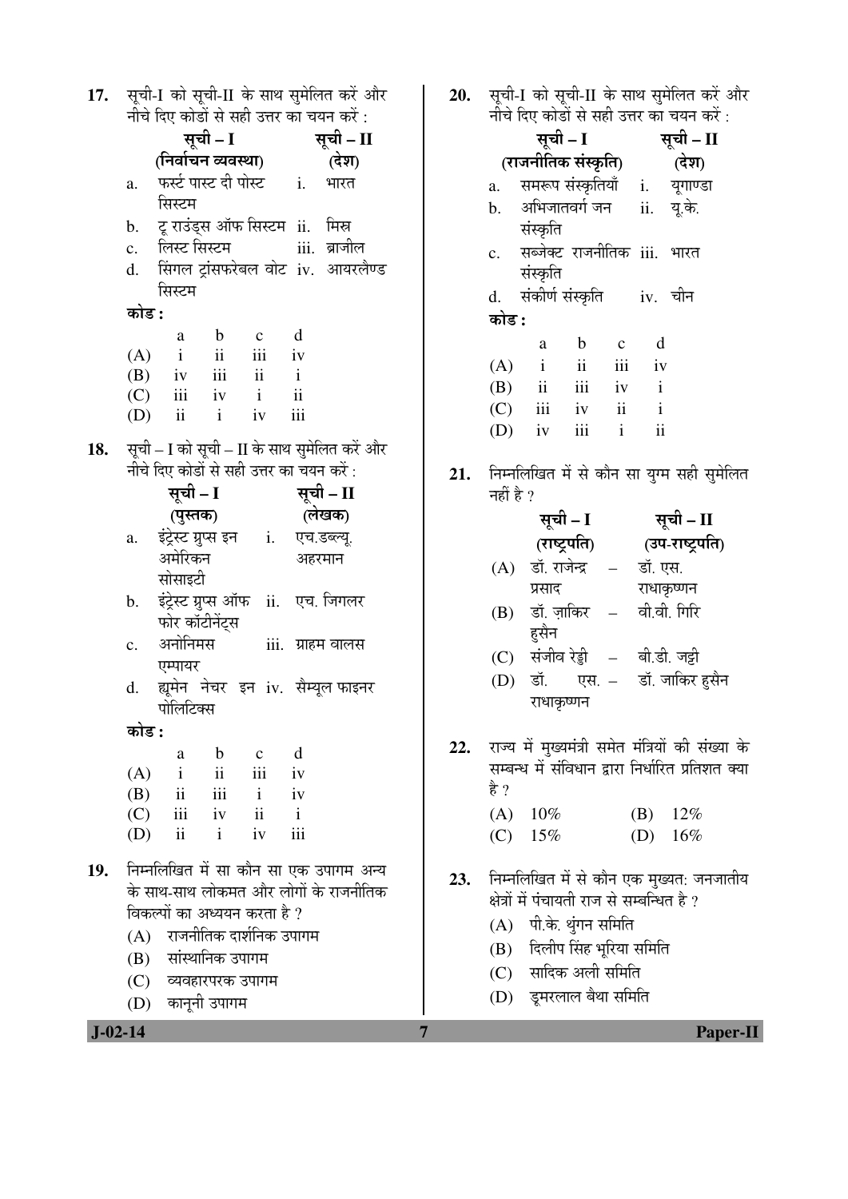| 17.        |                |                                               |                     |                         |                          | सूची-I को सूची-II के साथ सुमेलित करे और      |  |
|------------|----------------|-----------------------------------------------|---------------------|-------------------------|--------------------------|----------------------------------------------|--|
|            |                | नीचे दिए कोडों से सही उत्तर का चयन करें :     |                     |                         |                          |                                              |  |
|            |                |                                               | सूची – I            |                         |                          | सूची - II                                    |  |
|            |                | (निर्वाचन व्यवस्था)                           |                     |                         |                          | (देश)                                        |  |
|            | a.             | फर्स्ट पास्ट दी पोस्ट i.                      |                     |                         |                          | भारत                                         |  |
|            |                | सिस्टम                                        |                     |                         |                          |                                              |  |
|            | b.             | टू राउंड्स ऑफ सिस्टम ii.  मिस्र               |                     |                         |                          |                                              |  |
|            | c.             | लिस्ट सिस्टम                                  |                     |                         |                          | iii. ब्राजील                                 |  |
|            | d.             |                                               |                     |                         |                          | सिंगल ट्रांसफरेबल वोट iv. आयरलैण्ड           |  |
|            |                | सिस्टम                                        |                     |                         |                          |                                              |  |
|            | कोड :          |                                               |                     |                         |                          |                                              |  |
|            |                | a                                             | $\mathbf b$         | $\mathbf{c}$            | d                        |                                              |  |
|            | (A)            | $\mathbf{i}$                                  |                     | ii iii iv               |                          |                                              |  |
|            |                | $(B)$ iv iii ii                               |                     |                         | $\mathbf{i}$             |                                              |  |
|            |                | $(C)$ iii iv i                                |                     |                         | $\overline{\textbf{ii}}$ |                                              |  |
|            |                | $(D)$ ii                                      | $\mathbf{i}$        | iv                      | iii                      |                                              |  |
| 18.        |                |                                               |                     |                         |                          | सूची - I को सूची - II के साथ सुमेलित करें और |  |
|            |                | नीचे दिए कोडों से सही उत्तर का चयन करें :     |                     |                         |                          |                                              |  |
|            |                | सूची – I                                      |                     |                         |                          | सूची – II                                    |  |
|            |                | (पुस्तक)                                      |                     |                         |                          | (लेखक)                                       |  |
|            | a.             | इंट्रेस्ट ग्रुप्स इन       i.     एच.डब्ल्यू. |                     |                         |                          |                                              |  |
|            |                | अमेरिकन                                       |                     |                         |                          | अहरमान                                       |  |
|            |                | सोसाइटी                                       |                     |                         |                          |                                              |  |
|            |                | b. इंट्रेस्ट ग्रुप्स ऑफ ii. एच. जिगलर         |                     |                         |                          |                                              |  |
|            |                | फोर कॉटीनेंट्स                                |                     |                         |                          |                                              |  |
|            | $\mathbf{c}$ . | अनोनिमस                                       |                     |                         |                          | iii. ग्राहम वालस                             |  |
|            |                | एम्पायर                                       |                     |                         |                          |                                              |  |
|            | d.             |                                               |                     |                         |                          | ह्यूमेन नेचर इन iv. सैम्यूल फाइनर            |  |
|            |                | पोलिटिक्स                                     |                     |                         |                          |                                              |  |
|            | कोड :          |                                               |                     |                         |                          |                                              |  |
|            |                | a                                             | $\mathbf b$         | $\mathbf{c}$            | d                        |                                              |  |
|            | (A)            | $\mathbf{i}$                                  | $\ddot{\mathbf{i}}$ | $\overline{\text{iii}}$ | iv                       |                                              |  |
|            |                | $(B)$ ii                                      | iii                 | $\mathbf{i}$            | iv                       |                                              |  |
|            | (C)            |                                               | iii iv              | $\ddot{\mathbf{i}}$     | $\mathbf{i}$             |                                              |  |
|            | (D)            | ii                                            | $\mathbf{i}$        | iv                      | iii                      |                                              |  |
| <b>19.</b> |                |                                               |                     |                         |                          | निम्नलिखित में सा कौन सा एक उपागम अन्य       |  |
|            |                |                                               |                     |                         |                          | के साथ-साथ लोकमत और लोगों के राजनीतिक        |  |
|            |                | विकल्पों का अध्ययन करता है ?                  |                     |                         |                          |                                              |  |
|            |                | (A) राजनीतिक दार्शनिक उपागम                   |                     |                         |                          |                                              |  |
|            |                | (B) सांस्थानिक उपागम                          |                     |                         |                          |                                              |  |
|            |                | (C) व्यवहारपरक उपागम                          |                     |                         |                          |                                              |  |
|            |                | (D) कानूनी उपागम                              |                     |                         |                          |                                              |  |
|            |                |                                               |                     |                         |                          |                                              |  |

**20.** सूची-I को सूची-II के साथ सुमेलित करें और<br>नीचे दिए कोडों से सही उत्तर का चयन करें :

|                | सूची – I                        |     | सूची – II     |                            |          |
|----------------|---------------------------------|-----|---------------|----------------------------|----------|
|                | (राजनीतिक संस्कृति)             |     | (देश)         |                            |          |
| $\mathbf{a}$ . | समरूप संस्कृतियाँ               |     |               | $\mathbf{i}$ .             | यूगाण्डा |
| $\mathbf{b}$ . | अभिजातवर्ग जन                   |     |               | $\overline{\mathbf{ii}}$ . | यू.के.   |
|                | संस्कृति                        |     |               |                            |          |
|                | c.  सब्जेक्ट राजनीतिक iii. भारत |     |               |                            |          |
|                | संस्कृति                        |     |               |                            |          |
| d.             | संकीर्ण संस्कृति                |     |               |                            | iv. चीन  |
| कोड :          |                                 |     |               |                            |          |
|                | a                               | b   | $\mathbf c$   | d                          |          |
| (A)            | $\mathbf{i}$                    | ii  | iii           | iv                         |          |
| (B)            | $\overline{\mathbf{u}}$         | iii | iv            | $\mathbf{i}$               |          |
|                | $(C)$ iii                       | iv  | $\mathbf{ii}$ | $\mathbf{i}$               |          |
| (D)            | iv                              | iii | $\mathbf{i}$  | ij                         |          |
|                |                                 |     |               |                            |          |

21. निम्नलिखित में से कौन सा युग्म सही सुमेलित नहीं है ?

|     | सूची - I      |       | सूची - II    |                                                                                                                                                                                                                                                                                                                                                                                              |
|-----|---------------|-------|--------------|----------------------------------------------------------------------------------------------------------------------------------------------------------------------------------------------------------------------------------------------------------------------------------------------------------------------------------------------------------------------------------------------|
|     | (राष्ट्रपति)  |       |              | (उप-राष्ट्रपति)                                                                                                                                                                                                                                                                                                                                                                              |
| (A) | डॉ. राजेन्द्र |       | डॉ. एस.      |                                                                                                                                                                                                                                                                                                                                                                                              |
|     | प्रसाद        |       | राधाकृष्णन   |                                                                                                                                                                                                                                                                                                                                                                                              |
| (B) | डॉ. ज़ाकिर    |       | वी.वी. गिरि  |                                                                                                                                                                                                                                                                                                                                                                                              |
|     | हसैन          |       |              |                                                                                                                                                                                                                                                                                                                                                                                              |
| (C) | संजीव रेड्डी  |       | बी.डी. जट्टी |                                                                                                                                                                                                                                                                                                                                                                                              |
| (D) | डॉ.           | एस. - |              | डॉ. जाकिर हुसैन                                                                                                                                                                                                                                                                                                                                                                              |
|     | राधाकृष्णन    |       |              |                                                                                                                                                                                                                                                                                                                                                                                              |
|     |               |       |              |                                                                                                                                                                                                                                                                                                                                                                                              |
|     |               |       |              | राज्य में मुख्यमंत्री समेत मंत्रियों की संख्या                                                                                                                                                                                                                                                                                                                                               |
|     |               |       |              | $\frac{1}{2} \frac{1}{2} \frac{1}{2} \frac{1}{2} \frac{1}{2} \frac{1}{2} \frac{1}{2} \frac{1}{2} \frac{1}{2} \frac{1}{2} \frac{1}{2} \frac{1}{2} \frac{1}{2} \frac{1}{2} \frac{1}{2} \frac{1}{2} \frac{1}{2} \frac{1}{2} \frac{1}{2} \frac{1}{2} \frac{1}{2} \frac{1}{2} \frac{1}{2} \frac{1}{2} \frac{1}{2} \frac{1}{2} \frac{1}{2} \frac{1}{2} \frac{1}{2} \frac{1}{2} \frac{1}{2} \frac{$ |

के  $22.$ सम्बन्ध मे संविधान द्वारा निर्धारित प्रतिशत क्या है ?

| $(A)$ 10% | (B) $12\%$ |
|-----------|------------|
| $(C)$ 15% | (D) $16\%$ |

- 23. निम्नलिखित में से कौन एक मुख्यत: जनजातीय<br>क्षेत्रों में पंचायती राज से सम्बन्धित है ?
	- (A) पी.के. थुंगन समिति
	- (B) दिलीप सिंह भूरिया समिति
	- $(C)$  सादिक अली समिति
	- (D) डूमरलाल बैथा समिति

 $\overline{7}$ 

 $J-02-14$ 

Paper-II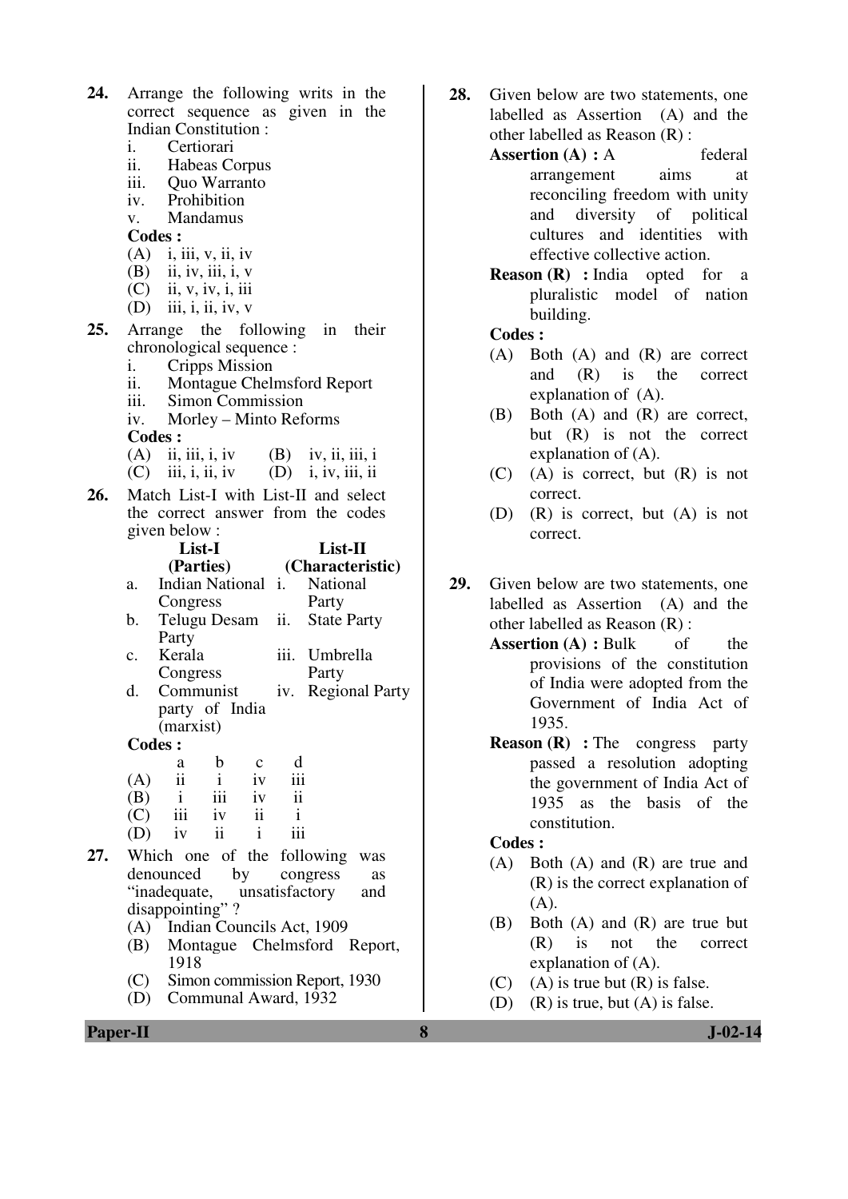| 24. | Arrange the following writs in the                                 |  |  |  |  |  |  |
|-----|--------------------------------------------------------------------|--|--|--|--|--|--|
|     | correct sequence as given in the                                   |  |  |  |  |  |  |
|     | Indian Constitution:                                               |  |  |  |  |  |  |
|     | i.<br>Certiorari                                                   |  |  |  |  |  |  |
|     | ii. Habeas Corpus                                                  |  |  |  |  |  |  |
|     | iii. Quo Warranto                                                  |  |  |  |  |  |  |
|     | iv. Prohibition                                                    |  |  |  |  |  |  |
|     | $\overline{v}$ . Mandamus                                          |  |  |  |  |  |  |
|     | <b>Codes:</b>                                                      |  |  |  |  |  |  |
|     | $(A)$ i, iii, v, ii, iv                                            |  |  |  |  |  |  |
|     | $(B)$ ii, iv, iii, i, v                                            |  |  |  |  |  |  |
|     | $(C)$ ii, v, iv, i, iii                                            |  |  |  |  |  |  |
|     | $(D)$ iii, i, ii, iv, v                                            |  |  |  |  |  |  |
| 25. | Arrange the following in their                                     |  |  |  |  |  |  |
|     | chronological sequence :                                           |  |  |  |  |  |  |
|     | i.<br>Cripps Mission                                               |  |  |  |  |  |  |
|     | ii. Montague Chelmsford Report                                     |  |  |  |  |  |  |
|     | iii. Simon Commission                                              |  |  |  |  |  |  |
|     | iv. Morley – Minto Reforms                                         |  |  |  |  |  |  |
|     | <b>Codes:</b>                                                      |  |  |  |  |  |  |
|     | $(A)$ ii, iii, i, iv $(B)$ iv, ii, iii, i                          |  |  |  |  |  |  |
|     | $(C)$ iii, i, ii, iv $(D)$ i, iv, iii, ii                          |  |  |  |  |  |  |
| 26. | Match List-I with List-II and select                               |  |  |  |  |  |  |
|     | the correct answer from the codes                                  |  |  |  |  |  |  |
|     | given below:                                                       |  |  |  |  |  |  |
|     | List-II<br>List-I                                                  |  |  |  |  |  |  |
|     |                                                                    |  |  |  |  |  |  |
|     |                                                                    |  |  |  |  |  |  |
|     | (Parties)<br>(Characteristic)<br>Indian National i. National<br>a. |  |  |  |  |  |  |
|     |                                                                    |  |  |  |  |  |  |
|     | Congress<br>Party<br>ii.<br>b.                                     |  |  |  |  |  |  |
|     | <b>State Party</b><br>Telugu Desam                                 |  |  |  |  |  |  |
|     | Party<br>Kerala<br>iii. Umbrella<br>c.                             |  |  |  |  |  |  |
|     | Party                                                              |  |  |  |  |  |  |
|     | Congress<br>d.<br>Communist<br>iv.                                 |  |  |  |  |  |  |
|     | <b>Regional Party</b>                                              |  |  |  |  |  |  |
|     | party of India<br>(marxist)                                        |  |  |  |  |  |  |
|     | <b>Codes:</b>                                                      |  |  |  |  |  |  |
|     | $\mathbf b$<br>d<br>$\mathbf{C}$<br>a                              |  |  |  |  |  |  |
|     | $\ddot{\mathbf{i}}$<br>$\mathbf{i}$<br>iv<br>iii<br>(A)            |  |  |  |  |  |  |
|     | iii<br>$\overline{\mathbf{u}}$<br>$\mathbf{i}$<br>(B)<br>iv        |  |  |  |  |  |  |
|     | iii<br>(C)<br>$\overline{\mathbf{u}}$<br>$\mathbf{i}$<br>iv        |  |  |  |  |  |  |
|     | $\mathbf{ii}$<br>iii<br>$(D)$ iv<br>$\mathbf{i}$                   |  |  |  |  |  |  |
|     |                                                                    |  |  |  |  |  |  |
| 27. | Which one of the following was                                     |  |  |  |  |  |  |
|     | congress<br>denounced<br>by<br>as                                  |  |  |  |  |  |  |
|     | "inadequate, unsatisfactory<br>and                                 |  |  |  |  |  |  |
|     | disappointing"?                                                    |  |  |  |  |  |  |
|     | (A) Indian Councils Act, 1909                                      |  |  |  |  |  |  |
|     | Montague Chelmsford Report,<br>(B)                                 |  |  |  |  |  |  |
|     | 1918<br>(C)<br>Simon commission Report, 1930                       |  |  |  |  |  |  |

- **28.** Given below are two statements, one labelled as Assertion (A) and the other labelled as Reason (R) :
	- **Assertion (A) : A** federal arrangement aims at reconciling freedom with unity and diversity of political cultures and identities with effective collective action.
	- **Reason (R) :** India opted for a pluralistic model of nation building.

## **Codes :**

- (A) Both (A) and (R) are correct and (R) is the correct explanation of (A).
- (B) Both (A) and (R) are correct, but (R) is not the correct explanation of (A).
- (C) (A) is correct, but (R) is not correct.
- (D) (R) is correct, but (A) is not correct.
- **29.** Given below are two statements, one labelled as Assertion (A) and the other labelled as Reason (R) :
	- **Assertion (A) : Bulk** of the provisions of the constitution of India were adopted from the Government of India Act of 1935.
	- **Reason (R)** : The congress party passed a resolution adopting the government of India Act of 1935 as the basis of the constitution.

## **Codes :**

- (A) Both (A) and (R) are true and (R) is the correct explanation of  $(A)$ .
- (B) Both (A) and (R) are true but (R) is not the correct explanation of (A).
- (C) (A) is true but  $(R)$  is false.
- (D) (R) is true, but (A) is false.

**Paper-II 8 J-02-14**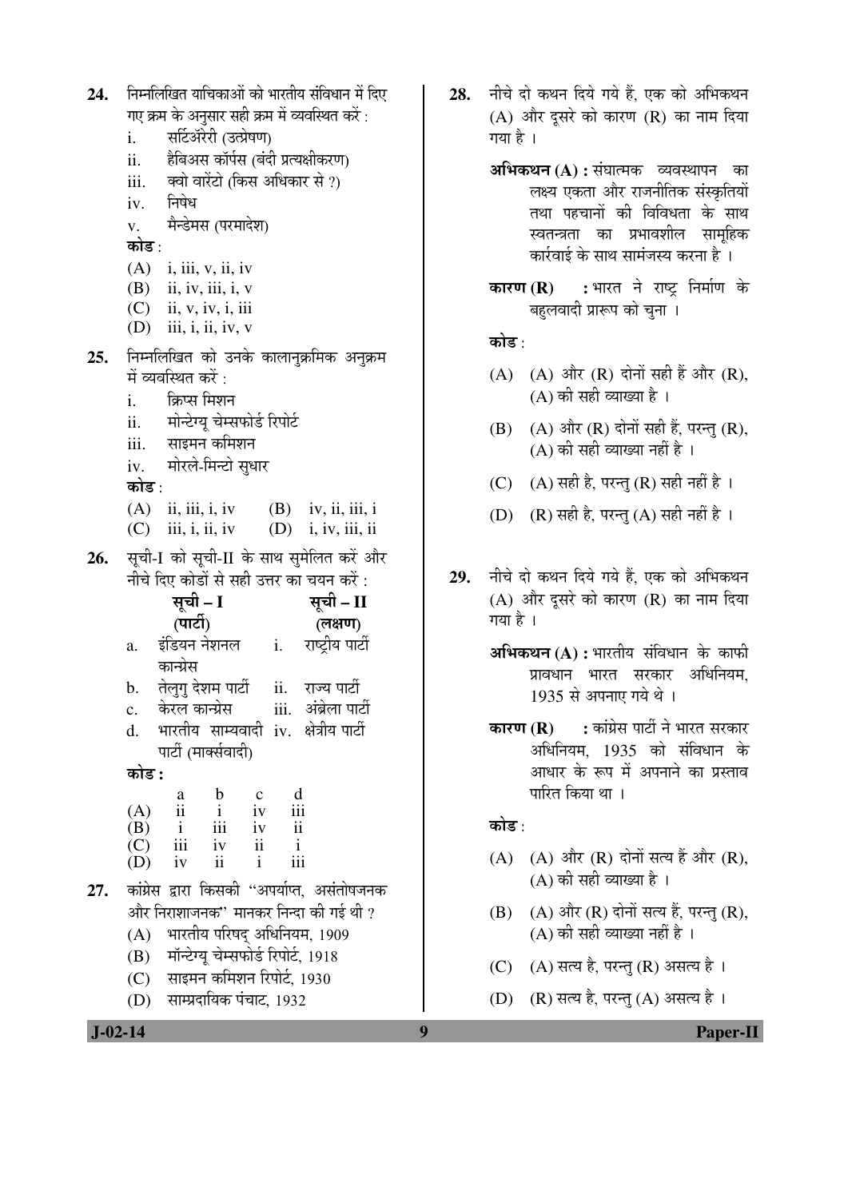| 24. | निम्नलिखित याचिकाओं को भारतीय संविधान में दिए                                                    |  |  |  |  |  |  |
|-----|--------------------------------------------------------------------------------------------------|--|--|--|--|--|--|
|     | गए क्रम के अनुसार सही क्रम में व्यवस्थित करें :                                                  |  |  |  |  |  |  |
|     | सर्टिॲरेरी (उत्प्रेषण)<br>i.                                                                     |  |  |  |  |  |  |
|     | हैबिअस कॉर्पस (बंदी प्रत्यक्षीकरण)<br>ii.                                                        |  |  |  |  |  |  |
|     | iii.<br>क्वो वारेंटो (किस अधिकार से ?)                                                           |  |  |  |  |  |  |
|     | निषेध<br>iv.                                                                                     |  |  |  |  |  |  |
|     | v. मैन्डेमस (परमादेश)                                                                            |  |  |  |  |  |  |
|     | कोड∶                                                                                             |  |  |  |  |  |  |
|     | $(A)$ i, iii, v, ii, iv                                                                          |  |  |  |  |  |  |
|     | $(B)$ ii, iv, iii, i, v                                                                          |  |  |  |  |  |  |
|     | $(C)$ ii, v, iv, i, iii                                                                          |  |  |  |  |  |  |
|     | $(D)$ iii, i, ii, iv, v                                                                          |  |  |  |  |  |  |
| 25. | निम्नलिखित को उनके कालानुक्रमिक अनुक्रम                                                          |  |  |  |  |  |  |
|     | में व्यवस्थित करें :                                                                             |  |  |  |  |  |  |
|     | क्रिप्स मिशन<br>i.                                                                               |  |  |  |  |  |  |
|     | $\ddot{\mathbf{i}}$ .<br>मोन्टेग्यू चेम्सफोर्ड रिपोर्ट                                           |  |  |  |  |  |  |
|     | iii.     साइमन कमिशन                                                                             |  |  |  |  |  |  |
|     | मोरले-मिन्टो सुधार<br>iv.                                                                        |  |  |  |  |  |  |
|     | कोड :                                                                                            |  |  |  |  |  |  |
|     | (A) ii, iii, i, iv (B) iv, ii, iii, i                                                            |  |  |  |  |  |  |
|     | $(C)$ iii, i, ii, iv<br>$(D)$ i, iv, iii, ii                                                     |  |  |  |  |  |  |
| 26. | सूची-I को सूची-II के साथ सुमेलित करें और                                                         |  |  |  |  |  |  |
|     | नीचे दिए कोडों से सही उत्तर का चयन करें :                                                        |  |  |  |  |  |  |
|     | सूची – I<br>सूची – II                                                                            |  |  |  |  |  |  |
|     | (पार्टी)<br>(लक्षण)                                                                              |  |  |  |  |  |  |
|     | राष्ट्रीय पार्टी<br>इंडियन नेशनल<br>i.<br>a.                                                     |  |  |  |  |  |  |
|     | कान्ग्रेस                                                                                        |  |  |  |  |  |  |
|     | b. तेलुगु देशम पार्टी<br>ii. राज्य पार्टी                                                        |  |  |  |  |  |  |
|     | केरल कान्ग्रेस<br>iii.   अंब्रेला पार्टी<br>$\mathbf{c}$ .                                       |  |  |  |  |  |  |
|     | भारतीय साम्यवादी iv. क्षेत्रीय-पार्टी<br>d.                                                      |  |  |  |  |  |  |
|     | पार्टी (मार्क्सवादी)                                                                             |  |  |  |  |  |  |
|     | कोड :                                                                                            |  |  |  |  |  |  |
|     | b<br>d<br>$\mathbf c$<br>a                                                                       |  |  |  |  |  |  |
|     | $\ddot{\mathbf{i}}$<br>$\mathbf{i}$<br>iv<br>(A)<br>$\mathbf{i}$<br>iii<br>iv<br>$\ddot{\rm ii}$ |  |  |  |  |  |  |
|     | (B)<br>iii<br>$\ddot{\mathbf{i}}$<br>$\overline{C}$<br>iv<br>$\mathbf{i}$                        |  |  |  |  |  |  |
|     | (D)<br>ii<br>$\mathbf{i}$<br>iii<br>iv                                                           |  |  |  |  |  |  |
| 27. | कांग्रेस द्वारा किसकी "अपर्याप्त, असंतोषजनक                                                      |  |  |  |  |  |  |
|     | और निराशाजनक'' मानकर निन्दा की गई थी ?                                                           |  |  |  |  |  |  |
|     |                                                                                                  |  |  |  |  |  |  |
|     |                                                                                                  |  |  |  |  |  |  |
|     | भारतीय परिषद् अधिनियम, 1909<br>(A)                                                               |  |  |  |  |  |  |
|     | (B) मॉन्टेग्यू चेम्सफोर्ड रिपोर्ट, 1918<br>(C) साइमन कमिशन रिपोर्ट, 1930                         |  |  |  |  |  |  |

- अभिकथन (A) : संघात्मक व्यवस्थापन का लक्ष्य एकता और राजनीतिक संस्कृतियों तथा पहचानों की विविधता के साथ स्वतन्त्रता का प्रभावशील सामहिक कार्रवाई के साथ सामंजस्य करना है ।
- : भारत ने राष्ट्र निर्माण के कारण $(R)$ बहुलवादी प्रारूप को चुना ।

## कोड :

- (A) (A) और (R) दोनों सही हैं और (R),  $(A)$  की सही व्याख्या है।
- (B) (A) और (R) दोनों सही हैं, परन्तु (R),  $(A)$  की सही व्याख्या नहीं है ।
- (C) (A) सही है, परन्तु (R) सही नहीं है।
- (D) (R) सही है, परन्तु (A) सही नहीं है।
- नीचे दो कथन दिये गये हैं. एक को अभिकथन 29.  $(A)$  और दूसरे को कारण  $(R)$  का नाम दिया गया है ।
	- अभिकथन (A) : भारतीय संविधान के काफी प्रावधान भारत सरकार अधिनियम. 1935 से अपनाए गये थे।
	- : कांग्रेस पार्टी ने भारत सरकार कारण $(R)$ अधिनियम, 1935 को संविधान के आधार के रूप में अपनाने का प्रस्ताव पारित किया था ।

## कोड :

- (A) (A) और (R) दोनों सत्य हैं और (R),  $(A)$  की सही व्याख्या है।
- (B) (A) और (R) दोनों सत्य हैं, परन्तु (R),  $(A)$  की सही व्याख्या नहीं है।
- (C) (A) सत्य है, परन्तु (R) असत्य है।
- (D) (R) सत्य है, परन्तु (A) असत्य है।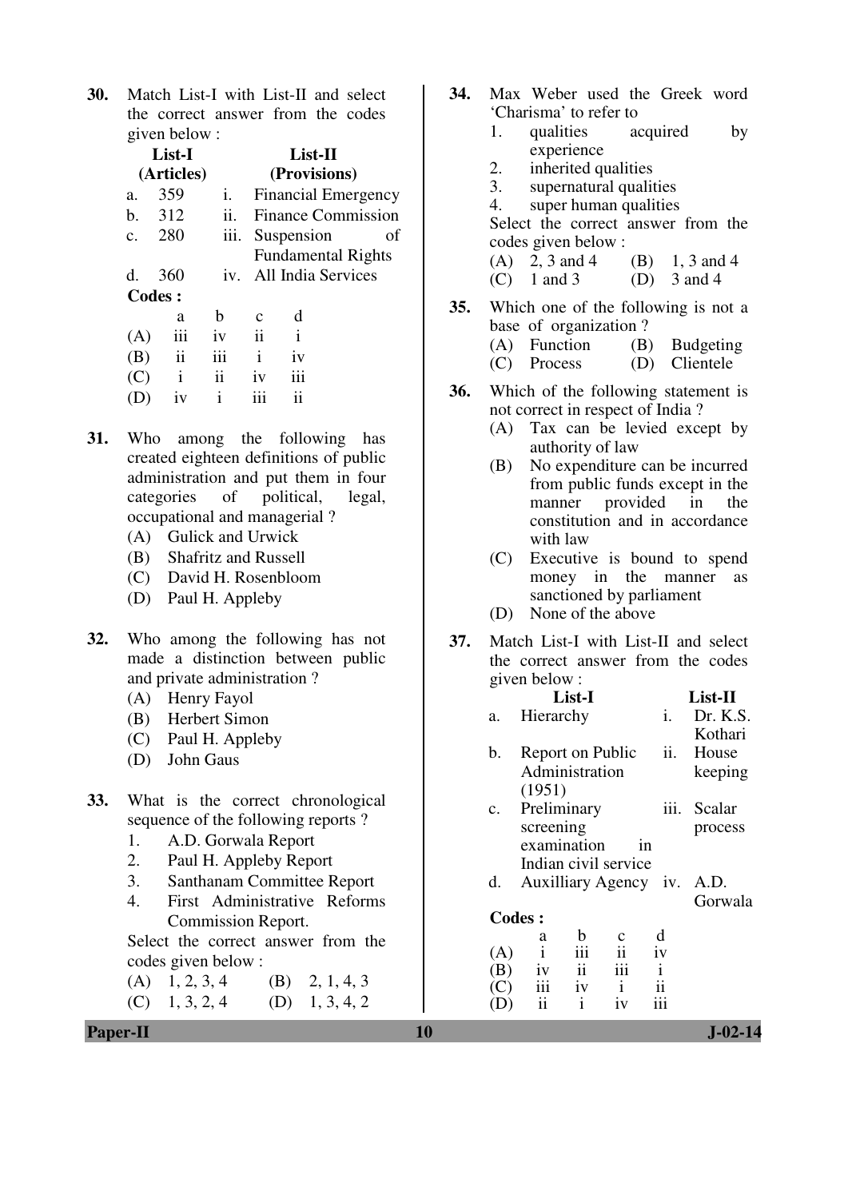**30.** Match List-I with List-II and select the correct answer from the codes given below :

|                | List-I<br>(Articles) |      |                     | $List-II$<br>(Provisions)               |    |
|----------------|----------------------|------|---------------------|-----------------------------------------|----|
| a.             | 359                  | i.   |                     | <b>Financial Emergency</b>              |    |
| $\mathbf{b}$ . | 312                  | ii.  |                     | <b>Finance Commission</b>               |    |
| $\mathbf{c}$ . | 280                  | 111. |                     | Suspension<br><b>Fundamental Rights</b> | οf |
| d.             | 360                  |      |                     | iv. All India Services                  |    |
|                | <b>Codes:</b>        |      |                     |                                         |    |
|                | a                    | b    | $\mathbf c$         | d                                       |    |
| (A)            | iii                  | iv   | $\ddot{\mathbf{i}}$ | $\mathbf{i}$                            |    |
| (B)            | $\mathbf{ii}$        | iii  | $\mathbf{i}$        | iv                                      |    |
| (C)            | $\mathbf{i}$         | ii   | iv                  | 111                                     |    |
|                | 1V                   | i    | iii                 | ii                                      |    |
|                |                      |      |                     |                                         |    |

- **31.** Who among the following has created eighteen definitions of public administration and put them in four categories of political, legal, occupational and managerial ?
	- (A) Gulick and Urwick
	- (B) Shafritz and Russell
	- (C) David H. Rosenbloom
	- (D) Paul H. Appleby
- **32.** Who among the following has not made a distinction between public and private administration ?
	- (A) Henry Fayol
	- (B) Herbert Simon
	- (C) Paul H. Appleby
	- (D) John Gaus
- **33.** What is the correct chronological sequence of the following reports ?
	- 1. A.D. Gorwala Report
	- 2. Paul H. Appleby Report
	- 3. Santhanam Committee Report
	- 4. First Administrative Reforms Commission Report.

Select the correct answer from the codes given below :

 $(A)$  1, 2, 3, 4 (B) 2, 1, 4, 3  $(C)$  1, 3, 2, 4 (D) 1, 3, 4, 2 **34.** Max Weber used the Greek word 'Charisma' to refer to 1. qualities acquired by experience 2. inherited qualities<br>3. supernatural quality supernatural qualities 4. super human qualities Select the correct answer from the codes given below : (A) 2, 3 and 4 (B) 1, 3 and 4<br>(C) 1 and 3 (D) 3 and 4  $(C)$  1 and 3 **35.** Which one of the following is not a base of organization ? (A) Function (B) Budgeting (C) Process (D) Clientele **36.** Which of the following statement is not correct in respect of India ? (A) Tax can be levied except by authority of law (B) No expenditure can be incurred from public funds except in the manner provided in the constitution and in accordance with law (C) Executive is bound to spend money in the manner as sanctioned by parliament (D) None of the above

**37.** Match List-I with List-II and select the correct answer from the codes given below :

|     | List-I               |                     |              |                            |          |  |  |  |
|-----|----------------------|---------------------|--------------|----------------------------|----------|--|--|--|
| a.  | Hierarchy            |                     |              | i.                         | Dr. K.S. |  |  |  |
|     |                      |                     |              |                            | Kothari  |  |  |  |
| b.  | Report on Public     |                     |              | ii.                        | House    |  |  |  |
|     | Administration       |                     |              |                            | keeping  |  |  |  |
|     | (1951)               |                     |              |                            |          |  |  |  |
| c.  | Preliminary          |                     |              | iii.                       | Scalar   |  |  |  |
|     | screening            |                     |              |                            | process  |  |  |  |
|     | examination          |                     |              | <sub>in</sub>              |          |  |  |  |
|     | Indian civil service |                     |              |                            |          |  |  |  |
| d.  |                      |                     |              | Auxilliary Agency iv. A.D. |          |  |  |  |
|     |                      |                     |              |                            | Gorwala  |  |  |  |
|     | <b>Codes:</b>        |                     |              |                            |          |  |  |  |
|     | a                    | b                   |              | d                          |          |  |  |  |
| (A) | $\mathbf{i}$         | iii                 | ii           | iv                         |          |  |  |  |
| (B) | iv                   | $\ddot{\mathbf{i}}$ | iii          | $\mathbf{i}$               |          |  |  |  |
| (C) | iii                  | iv                  | $\mathbf{i}$ | ii                         |          |  |  |  |
|     | ii                   | i                   | iv           | 111                        |          |  |  |  |

**Paper-II 10** J-02-14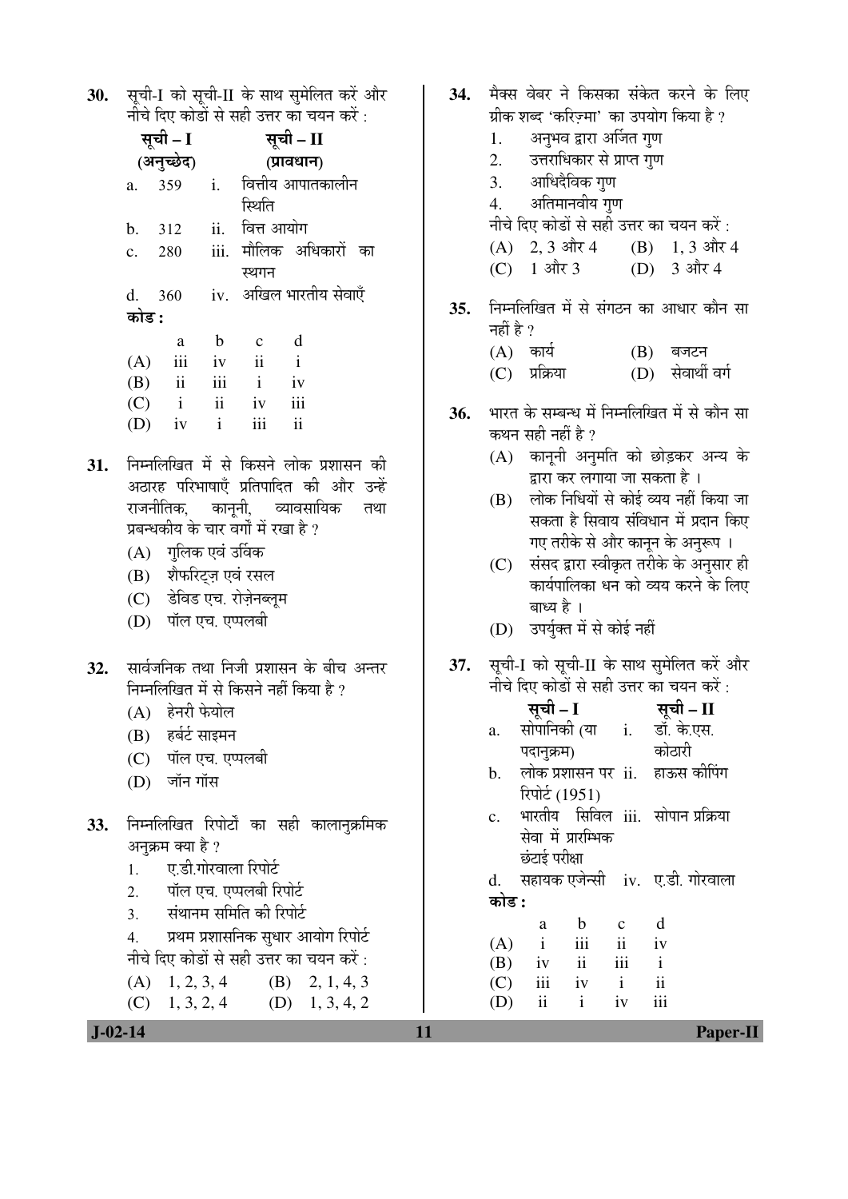30. सूची-I को सूची-II के साथ सुमेलित करें और नीचे दिए कोडों से सही उत्तर का चयन करें :

|                | सूची - I                |               |              | सूची – II                |  |  |
|----------------|-------------------------|---------------|--------------|--------------------------|--|--|
| (अनुच्छेद)     |                         |               | (प्रावधान)   |                          |  |  |
| $a_{-}$        | 359                     | $i$ .         |              | वित्तीय आपातकालीन        |  |  |
|                |                         |               | स्थिति       |                          |  |  |
| b.             | 312                     | ii.           | वित्त आयोग   |                          |  |  |
| $\mathbf{c}$ . | 280                     |               |              | iii. मौलिक अधिकारों का   |  |  |
|                |                         |               | स्थगन        |                          |  |  |
|                | d. 360                  |               |              | iv.   अखिल भारतीय सेवाएँ |  |  |
| कोड :          |                         |               |              |                          |  |  |
|                | a                       | b             | $\mathbf{c}$ | d                        |  |  |
| (A)            | iii                     | iv            | ii           | $\mathbf{i}$             |  |  |
| (B)            | $\overline{\mathbf{u}}$ | iii           | $\mathbf{i}$ | iv                       |  |  |
| (C)            | $\mathbf{i}$            | $\mathbf{ii}$ | iv           | iii                      |  |  |
| (D)            | iv                      | $\mathbf{i}$  | iii          | ii                       |  |  |
|                |                         |               |              |                          |  |  |

- निम्नलिखित में से किसने लोक प्रशासन की 31. अठारह परिभाषाएँ प्रतिपादित की और उन्हें राजनीतिक. कानुनी, व्यावसायिक तथा प्रबन्धकीय के चार वर्गों में रखा है ?
	- (A) गुलिक एवं उर्विक
	- (B) शैफरिट्ज़ एवं रसल
	- (C) डेविड एच. रोज़ेनब्लम
	- (D) पॉल एच. एप्पलबी
- सार्वजनिक तथा निजी प्रशासन के बीच अन्तर 32. निम्नलिखित में से किसने नहीं किया है ?
	- $(A)$  हेनरी फेयोल
	- (B) हर्बर्ट साइमन
	- (C) पॉल एच. एप्पलबी
	- (D) जॉन गॉस
- निम्नलिखित रिपोर्टों का सही कालानुक्रमिक 33. अनुक्रम क्या है ? ए.डी.गोरवाला रिपोर्ट  $1.$ 
	- पॉल एच. एप्पलबी रिपोर्ट  $\overline{2}$ .
	- संथानम समिति की रिपोर्ट  $\overline{3}$ .
	- प्रथम प्रशासनिक सुधार आयोग रिपोर्ट  $\overline{4}$ . नीचे दिए कोडों से सही उत्तर का चयन करें :
	- $1, 2, 3, 4$  $(A)$ (B)  $2, 1, 4, 3$  $1, 3, 2, 4$  $(C)$  $(D)$  1, 3, 4, 2

34. मैक्स वेबर ने किसका संकेत करने के लिए ग्रीक शब्द 'करिज़्मा' का उपयोग किया है ? अनुभव द्वारा अर्जित गुण 1. 2. उत्तराधिकार से प्राप्त गुण आधिदैविक गुण  $\overline{3}$ . अतिमानवीय गुण  $4.$ नीचे दिए कोडों से सही उत्तर का चयन करें :  $(B)$  1, 3 और 4  $(A)$  2, 3 और 4 1 और 3 3 और 4  $(C)$  $(D)$ निम्नलिखित में से संगठन का आधार कौन सा  $35.$ नहीं है ?  $(A)$  कार्य  $(B)$  बजटन (D) सेवार्थी वर्ग  $(C)$  प्रक्रिया भारत के सम्बन्ध में निम्नलिखित में से कौन सा 36. कथन सही नहीं है ? (A) कानूनी अनुमति को छोड़कर अन्य के द्वारा कर लगाया जा सकता है । लोक निधियों से कोई व्यय नहीं किया जा (B) सकता है सिवाय संविधान में प्रदान किए गए तरीके से और कानून के अनुरूप । (C) संसद द्वारा स्वीकृत तरीके के अनुसार ही

- कार्यपालिका धन को व्यय करने के लिए बाध्य है ।
- (D) उपर्युक्त में से कोई नहीं
- सूची-I को सूची-II के साथ सुमेलित करें और 37. नीचे दिए कोडों से सही उत्तर का चयन करें:

|                | सूची – I                          |                | सूची – II   |
|----------------|-----------------------------------|----------------|-------------|
| a.             | सोपानिकी (या                      | $\mathbf{i}$ . | डॉ. के.एस.  |
|                | पदानुक्रम)                        |                | कोठारी      |
| $\mathbf{b}$ . | लोक प्रशासन पर ii.                |                | हाऊस कीपिंग |
|                | रिपोर्ट (1951)                    |                |             |
| $\mathbf{c}$ . | भारतीय सिविल iii. सोपान-प्रक्रिया |                |             |
|                | सेवा में प्रारम्भिक               |                |             |
|                | छंटाई परीक्षा                     |                |             |
|                |                                   |                | $\sim$      |

सहायक एजेन्सी iv. ए.डी. गोरवाला  $\mathbf{d}$ . कोड :

 $\mathbf{h}$  $\mathbf{c}$  $\mathbf d$  $\overline{a}$  $(A)$  $\mathbf{i}$ iii  $\overline{\mathbf{i}}$  $iv$  $iv$  $\mathbf{ii}$ iii  $\mathbf{i}$ (B)  $\mathbf{i}$  $\overline{\mathbf{u}}$  $(C)$ iii  $iv$ iii (D)  $\mathbf{ii}$  $\mathbf{i}$  $iv$ 

11

 $J-02-14$ 

**Paper-II**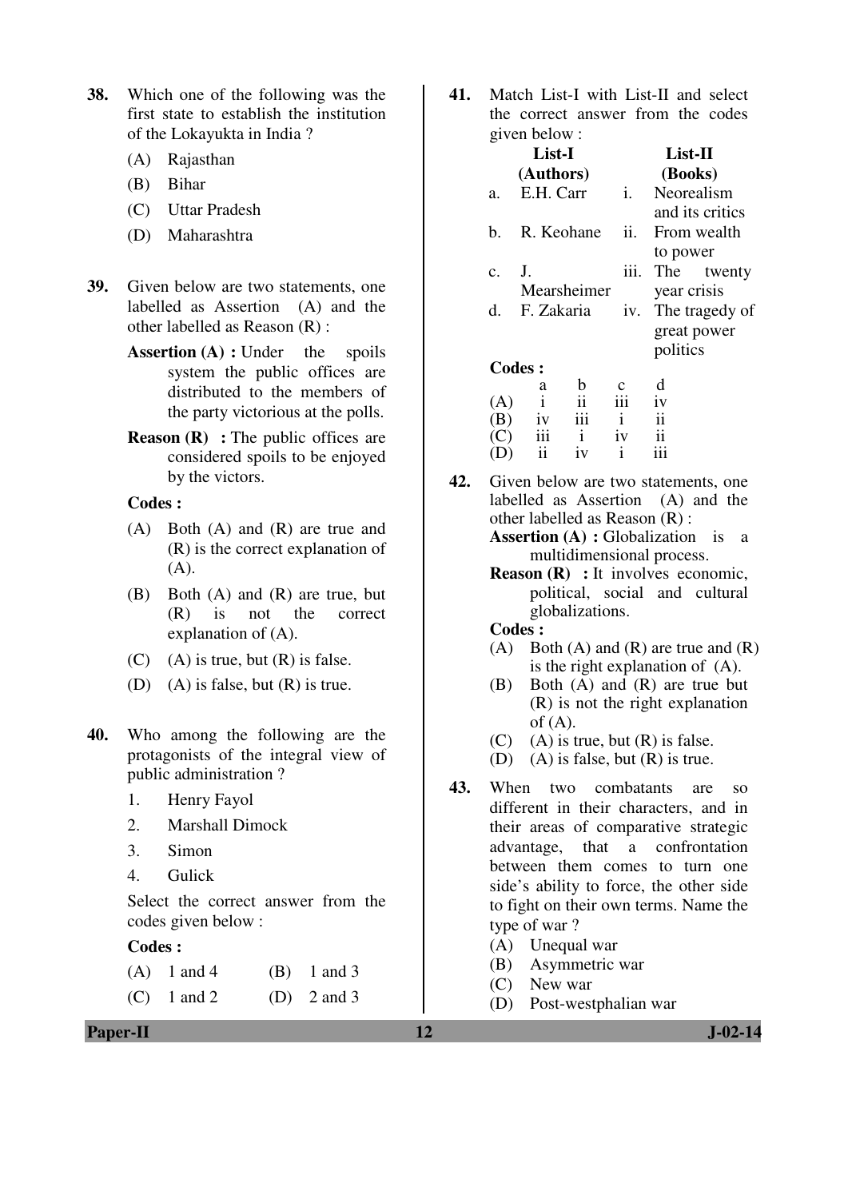- **38.** Which one of the following was the first state to establish the institution of the Lokayukta in India ?
	- (A) Rajasthan
	- (B) Bihar
	- (C) Uttar Pradesh
	- (D) Maharashtra
- **39.** Given below are two statements, one labelled as Assertion (A) and the other labelled as Reason (R) :
	- **Assertion (A) :** Under the spoils system the public offices are distributed to the members of the party victorious at the polls.
	- **Reason (R)** : The public offices are considered spoils to be enjoyed by the victors.

## **Codes :**

- (A) Both (A) and (R) are true and (R) is the correct explanation of (A).
- (B) Both (A) and (R) are true, but (R) is not the correct explanation of (A).
- $(C)$  (A) is true, but  $(R)$  is false.
- (D) (A) is false, but (R) is true.
- **40.** Who among the following are the protagonists of the integral view of public administration ?
	- 1. Henry Fayol
	- 2. Marshall Dimock
	- 3. Simon
	- 4. Gulick

 Select the correct answer from the codes given below :

## **Codes :**

- (A)  $1 \text{ and } 4$  (B)  $1 \text{ and } 3$
- (C)  $1$  and  $2$  (D)  $2$  and  $3$

**41.** Match List-I with List-II and select the correct answer from the codes given below :

|     |     | List-I                                  |                     |              | List-II                   |                                     |  |
|-----|-----|-----------------------------------------|---------------------|--------------|---------------------------|-------------------------------------|--|
|     |     | (Authors)                               |                     |              | (Books)                   |                                     |  |
|     | a.  |                                         | E.H. Carr           |              | Neorealism                |                                     |  |
|     |     |                                         |                     |              | and its critics           |                                     |  |
|     | b.  | R. Keohane                              |                     | ii.          |                           | From wealth                         |  |
|     |     |                                         |                     |              | to power                  |                                     |  |
|     | c.  | J.                                      |                     | iii.         |                           | The twenty                          |  |
|     |     | Mearsheimer                             |                     | year crisis  |                           |                                     |  |
|     | d.  | F. Zakaria                              |                     | iv.          |                           | The tragedy of                      |  |
|     |     |                                         |                     |              | great power               |                                     |  |
|     |     |                                         |                     |              | politics                  |                                     |  |
|     |     | <b>Codes:</b>                           |                     |              |                           |                                     |  |
|     |     | a                                       | $\mathbf b$         | $\mathbf c$  | d                         |                                     |  |
|     | (A) | $\mathbf{i}$                            | $\mathbf{ii}$       | iii          | iv                        |                                     |  |
|     | (B) | iv                                      | $\ddot{\mathbf{m}}$ | $\mathbf{i}$ | $\mathbf{ii}$             |                                     |  |
|     | (C) | iii                                     | $\mathbf{i}$        | iv           | $\overline{\mathbf{ii}}$  |                                     |  |
|     | (D) | ii                                      | iv                  | $\rm i$      | iii                       |                                     |  |
| 42. |     |                                         |                     |              |                           | Given below are two statements, one |  |
|     |     |                                         |                     |              |                           | labelled as Assertion (A) and the   |  |
|     |     |                                         |                     |              |                           |                                     |  |
|     |     | other labelled as Reason $(R)$ :        |                     |              |                           |                                     |  |
|     |     | <b>Assertion (A) : Globalization</b> is |                     |              |                           | a                                   |  |
|     |     |                                         |                     |              | multidimensional process. |                                     |  |
|     |     |                                         |                     |              |                           |                                     |  |

**Reason (R)** : It involves economic, political, social and cultural globalizations.

## **Codes :**

- (A) Both (A) and  $(R)$  are true and  $(R)$ is the right explanation of (A).
- (B) Both (A) and (R) are true but (R) is not the right explanation of  $(A)$ .
- $(C)$  (A) is true, but  $(R)$  is false.
- (D) (A) is false, but  $(R)$  is true.
- **43.** When two combatants are so different in their characters, and in their areas of comparative strategic advantage, that a confrontation between them comes to turn one side's ability to force, the other side to fight on their own terms. Name the type of war ?
	- (A) Unequal war
	- (B) Asymmetric war
	- (C) New war
	- (D) Post-westphalian war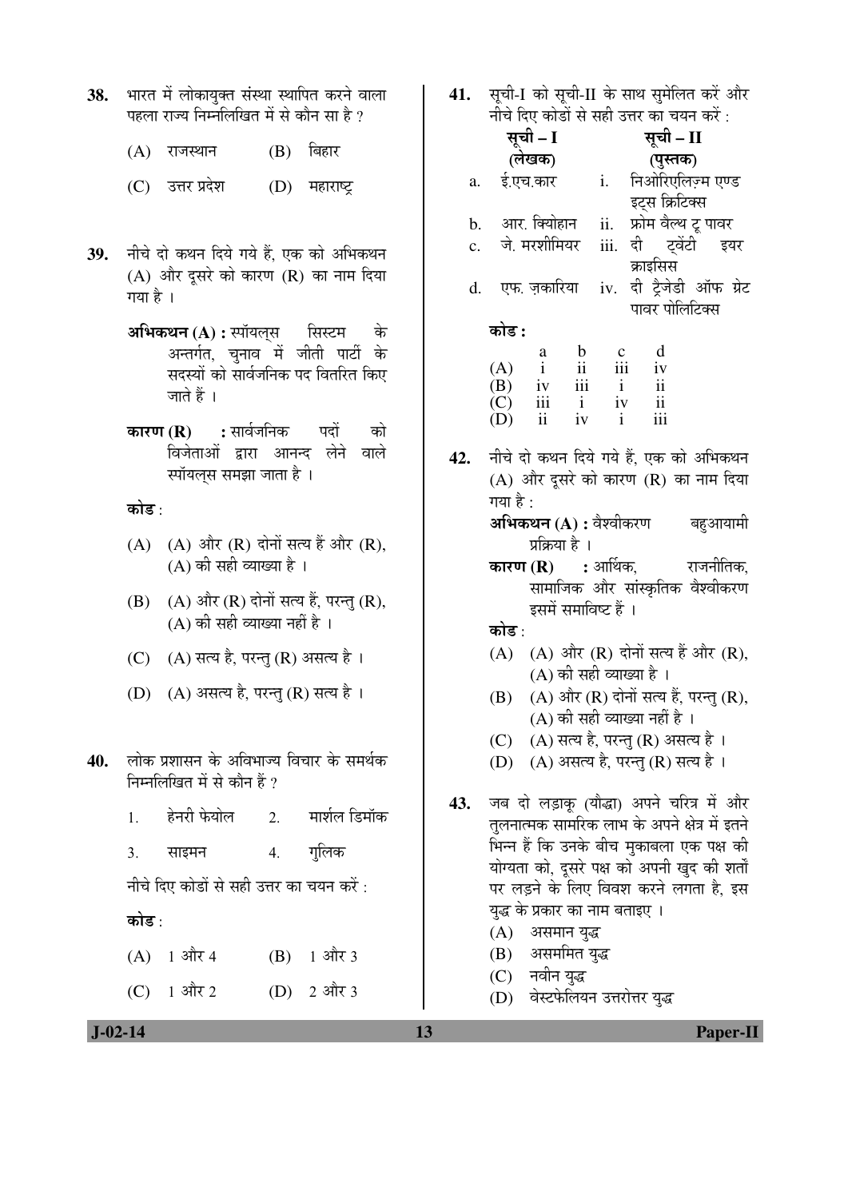- 38. भारत में लोकायुक्त संस्था स्थापित करने वाला पहला राज्य निम्नलिखित में से कौन सा $\,$  है ?
	- $(A)$  राजस्थान  $(B)$  बिहार
	- $(C)$  उत्तर प्रदेश  $(D)$  महाराष्ट्र
- 39. नीचे दो कथन दिये गये हैं. एक को अभिकथन  $(A)$  और दूसरे को कारण  $(R)$  का नाम दिया गया है ।
	- **अभिकथन (A) :** स्पॉयल्**स कि** अन्तर्गत, चुनाव में जीती पार्टी के सदस्यों को सार्वजनिक पद वितरित किए जाते हैं ।
	- **कारण (R) :** सार्वजनिक पदों को विजेताओं द्वारा आनन्द लेने वाले स्पॉयल्स समझा जाता है ।

कोड :

- $(A)$   $(A)$  और  $(R)$  दोनों सत्य हैं और  $(R)$ ,  $(A)$  की सही व्याख्या है।
- $(B)$   $(A)$  और  $(R)$  दोनों सत्य हैं, परन्तु  $(R)$ ,  $(A)$  की सही व्याख्या नहीं है ।
- (C) (A) सत्य है, परन्तु (R) असत्य है।
- (D) (A) असत्य है, परन्तु (R) सत्य है।
- 40. लोक प्रशासन के अविभाज्य विचार के समर्थक निम्नलिखित में से कौन हैं ?
	- 1. हेनरी फेयोल 2. मार्शल डिमॉक
	- 3. साइमन 4. गलिक

नीचे दिए कोडों से सही उत्तर का चयन करें :

## कोड़<sup>.</sup>

 $(A)$  1 और 4  $(B)$  1 और 3 (C)  $1 \text{ and } 2 \text{ } (D) \text{ and } 3$  41. सूची-I को सूची-II के साथ सुमेलित करें और नीचे दिए कोडों से सही उत्तर का चयन करें $\cdot$ 

|                |          |                                               |                |                 | $\frac{1}{2}$                          |           |  |
|----------------|----------|-----------------------------------------------|----------------|-----------------|----------------------------------------|-----------|--|
|                |          | सूची – I                                      |                |                 | सूची – II                              |           |  |
|                |          | (लेखक)                                        |                |                 | (पुस्तक)                               |           |  |
|                |          | a. ई.एच.कार                                   |                | i.              | निओरिएलिज़्म एण्ड                      |           |  |
|                |          |                                               |                |                 | इट्स क्रिटिक्स                         |           |  |
|                |          | b. आर. क्योहान                                |                | ii.             | फ्रोम वैल्थ टू पावर                    |           |  |
| $\mathbf{c}$ . |          | जे. मरशीमियर                                  |                |                 | iii. दी ट्वेंटी इयर                    |           |  |
|                |          | d. एफ. ज़कारिया                               |                | iv.             | क्राइसिस<br>दी ट्रैजेडी ऑफ ग्रेट       |           |  |
|                |          |                                               |                |                 | पावर पोलिटिक्स                         |           |  |
|                | कोड :    |                                               |                |                 |                                        |           |  |
|                |          |                                               |                |                 | d                                      |           |  |
|                | (A)      | $\begin{matrix} a \\ i \end{matrix}$          | $\frac{b}{11}$ | $\frac{c}{iii}$ | iv                                     |           |  |
|                |          | $(B)$ iv iii                                  |                | $\mathbf{i}$    | $\overline{\textbf{ii}}$               |           |  |
|                |          | $(C)$ iii                                     | $\mathbf{i}$   | iv              | $\,$ ii                                |           |  |
|                | $(D)$ ii |                                               | iv             | $\mathbf{i}$    | iii                                    |           |  |
| 42.            |          | नीचे दो कथन दिये गये हैं, एक को अभिकथन        |                |                 |                                        |           |  |
|                |          | (A) और दूसरे को कारण (R) का नाम दिया          |                |                 |                                        |           |  |
|                | गया है : |                                               |                |                 |                                        |           |  |
|                |          | <b>अभिकथन (A) :</b> वैश्वीकरण        बहुआयामी |                |                 |                                        |           |  |
|                |          | प्रक्रिया है ।                                |                |                 |                                        |           |  |
|                |          | <b>कारण (R) ः</b> आर्थिक,                     |                |                 |                                        | राजनीतिक, |  |
|                |          |                                               |                |                 | सामाजिक और सांस्कृतिक वैश्वीकरण        |           |  |
|                |          | इसमें समाविष्ट हैं ।                          |                |                 |                                        |           |  |
|                | कोड :    |                                               |                |                 |                                        |           |  |
|                | (A)      |                                               |                |                 | (A) और (R) दोनों सत्य हैं और (R),      |           |  |
|                |          | (A) की सही व्याख्या है ।                      |                |                 |                                        |           |  |
|                | (B)      |                                               |                |                 | (A) और (R) दोनों सत्य हैं, परन्तु (R), |           |  |
|                |          |                                               |                |                 | (A) की सही व्याख्या नहीं है ।          |           |  |
|                |          |                                               |                |                 |                                        |           |  |
|                |          | (C) (A) सत्य है, परन्तु (R) असत्य है ।        |                |                 |                                        |           |  |
|                |          | (D) (A) असत्य है, परन्तु (R) सत्य है ।        |                |                 |                                        |           |  |
| 43.            |          | जब दो लड़ाकू (यौद्धा) अपने चरित्र में और      |                |                 |                                        |           |  |
|                |          | तुलनात्मक सामरिक लाभ के अपने क्षेत्र में इतने |                |                 |                                        |           |  |
|                |          | भिन्न हैं कि उनके बीच मुकाबला एक पक्ष की      |                |                 |                                        |           |  |
|                |          | योग्यता को, दूसरे पक्ष को अपनी खुद की शर्तों  |                |                 |                                        |           |  |
|                |          | पर लड़ने के लिए विवश करने लगता है, इस         |                |                 |                                        |           |  |
|                |          | युद्ध के प्रकार का नाम बताइए ।                |                |                 |                                        |           |  |
|                |          |                                               |                |                 |                                        |           |  |
|                |          | (A) असमान युद्ध                               |                |                 |                                        |           |  |
|                |          | (B) असममित युद्ध                              |                |                 |                                        |           |  |
|                |          | (C) नवीन युद्ध                                |                |                 |                                        |           |  |

(D) वेस्टफेलियन उत्तरोत्तर युद्ध

 **J-02-14 13 Paper-II**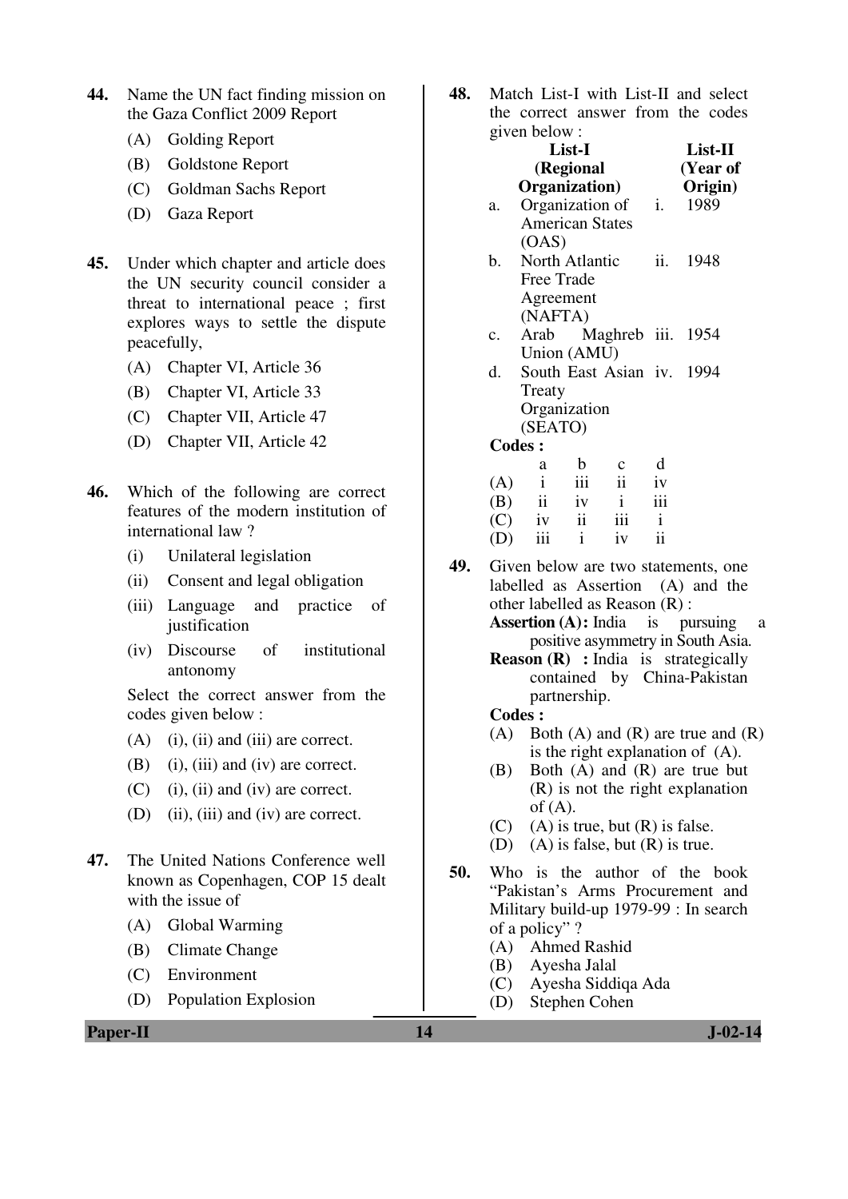- **44.** Name the UN fact finding mission on the Gaza Conflict 2009 Report
	- (A) Golding Report
	- (B) Goldstone Report
	- (C) Goldman Sachs Report
	- (D) Gaza Report
- **45.** Under which chapter and article does the UN security council consider a threat to international peace ; first explores ways to settle the dispute peacefully,
	- (A) Chapter VI, Article 36
	- (B) Chapter VI, Article 33
	- (C) Chapter VII, Article 47
	- (D) Chapter VII, Article 42
- **46.** Which of the following are correct features of the modern institution of international law ?
	- (i) Unilateral legislation
	- (ii) Consent and legal obligation
	- (iii) Language and practice of justification
	- (iv) Discourse of institutional antonomy

 Select the correct answer from the codes given below :

- $(A)$  (i), (ii) and (iii) are correct.
- (B) (i), (iii) and (iv) are correct.
- (C) (i), (ii) and (iv) are correct.
- (D) (ii), (iii) and (iv) are correct.
- **47.** The United Nations Conference well known as Copenhagen, COP 15 dealt with the issue of
	- (A) Global Warming
	- (B) Climate Change
	- (C) Environment
	- (D) Population Explosion

**Paper-II 14** J-02-14

**48.** Match List-I with List-II and select the correct answer from the codes  $\alpha$ iven below :

|                     |    |                                                                                                                                              |                                                                                                                                             | $List-II$                                                                 |  |  |  |  |
|---------------------|----|----------------------------------------------------------------------------------------------------------------------------------------------|---------------------------------------------------------------------------------------------------------------------------------------------|---------------------------------------------------------------------------|--|--|--|--|
|                     |    |                                                                                                                                              |                                                                                                                                             |                                                                           |  |  |  |  |
|                     |    |                                                                                                                                              |                                                                                                                                             | (Year of<br>Origin)                                                       |  |  |  |  |
|                     |    |                                                                                                                                              |                                                                                                                                             | 1989                                                                      |  |  |  |  |
|                     |    |                                                                                                                                              |                                                                                                                                             |                                                                           |  |  |  |  |
|                     |    |                                                                                                                                              |                                                                                                                                             |                                                                           |  |  |  |  |
|                     |    |                                                                                                                                              | ii.                                                                                                                                         | 1948                                                                      |  |  |  |  |
|                     |    |                                                                                                                                              |                                                                                                                                             |                                                                           |  |  |  |  |
|                     |    |                                                                                                                                              |                                                                                                                                             |                                                                           |  |  |  |  |
|                     |    |                                                                                                                                              |                                                                                                                                             |                                                                           |  |  |  |  |
|                     |    |                                                                                                                                              |                                                                                                                                             |                                                                           |  |  |  |  |
|                     |    |                                                                                                                                              |                                                                                                                                             |                                                                           |  |  |  |  |
|                     |    |                                                                                                                                              |                                                                                                                                             |                                                                           |  |  |  |  |
|                     |    |                                                                                                                                              |                                                                                                                                             |                                                                           |  |  |  |  |
|                     |    |                                                                                                                                              |                                                                                                                                             |                                                                           |  |  |  |  |
|                     |    |                                                                                                                                              |                                                                                                                                             |                                                                           |  |  |  |  |
| <b>Codes:</b>       |    |                                                                                                                                              |                                                                                                                                             |                                                                           |  |  |  |  |
| a                   | b  | $\mathbf c$                                                                                                                                  | d                                                                                                                                           |                                                                           |  |  |  |  |
| $\mathbf{i}$<br>(A) |    |                                                                                                                                              | iv                                                                                                                                          |                                                                           |  |  |  |  |
| (B)                 |    | $\mathbf{i}$                                                                                                                                 | iii                                                                                                                                         |                                                                           |  |  |  |  |
| (C)                 |    |                                                                                                                                              | $\mathbf{i}$                                                                                                                                |                                                                           |  |  |  |  |
| iii<br>(D)          |    | iv                                                                                                                                           | $\overline{11}$                                                                                                                             |                                                                           |  |  |  |  |
|                     | ii | $\epsilon$ is very conservative.<br>List-I<br>(OAS)<br>Free Trade<br>(NAFTA)<br>Treaty<br>(SEATO)<br>$\overline{\text{iii}}$<br>$\mathbf{i}$ | (Regional<br>Organization)<br><b>American States</b><br>North Atlantic<br>Agreement<br>Union (AMU)<br>Organization<br>ii<br>iv<br>iv ii iii | Organization of i.<br>Arab Maghreb iii. 1954<br>South East Asian iv. 1994 |  |  |  |  |

- **49.** Given below are two statements, one labelled as Assertion (A) and the other labelled as Reason (R) :
	- **Assertion (A):** India is pursuing a positive asymmetry in South Asia.
	- **Reason (R)** : India is strategically contained by China-Pakistan partnership.

#### **Codes :**

- (A) Both (A) and  $(R)$  are true and  $(R)$ is the right explanation of (A).
- (B) Both (A) and (R) are true but (R) is not the right explanation  $of (A)$ .
- $(C)$  (A) is true, but  $(R)$  is false.
- (D) (A) is false, but (R) is true.
- **50.** Who is the author of the book "Pakistan's Arms Procurement and Military build-up 1979-99 : In search of a policy" ?
	- (A) Ahmed Rashid
	- (B) Ayesha Jalal
	- (C) Ayesha Siddiqa Ada
	- (D) Stephen Cohen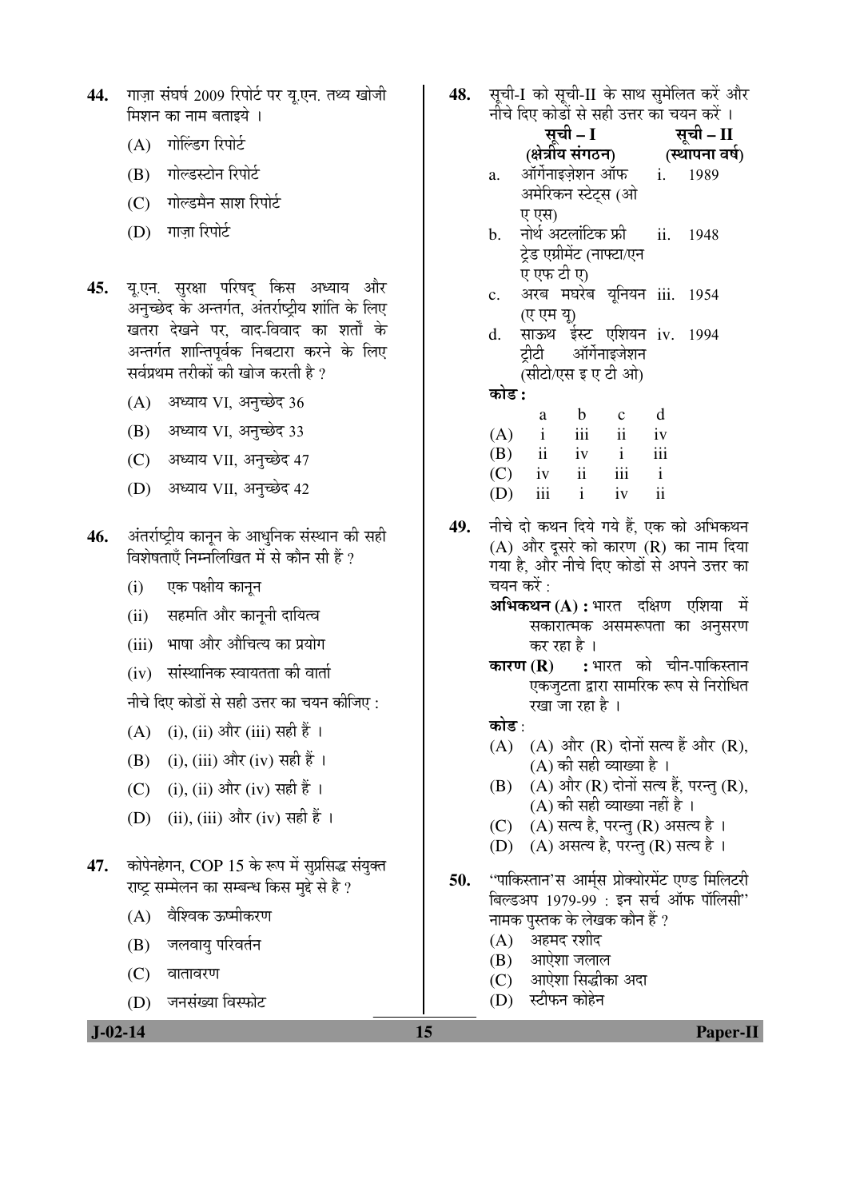- 44. गाज़ा संघर्ष 2009 रिपोर्ट पर यू.एन. तथ्य खोजी मिशन का नाम बताइये ।
	- $(A)$  गोलिंडग रिपोर्ट
	- (B) गोल्डस्टोन रिपोर्ट
	- (C) गोल्डमैन साश रिपोर्ट
	- $(D)$  गाजा रिपोर्ट
- 45. यू.एन. सुरक्षा परिषद् किस अध्याय और ू<br>अनुच्छेद के अन्तर्गत, अंतर्राष्ट्रीय शांति के लिए खतरा देखने पर, वाद-विवाद का शर्तों के अन्तर्गत शान्तिपूर्वक निबटारा करने के लिए सर्वप्रथम तरीकों की खोज करती है ?
	- $(A)$  अध्याय VI, अनुच्छेद 36
	- (B) अध्याय VI, अनुच्छेद 33
	- (C) अध्याय VII, अनुच्छेद 47
	- (D) अध्याय VII, अनुच्छेद 42
- 46. अंतर्राष्ट्रीय कानून के आधुनिक संस्थान की सही <u>विशेषताएँ निम्नोलेखित में से कौन सी हैं ?</u>
	- (i) एक पक्षीय कानुन
	- (ii) सहमति और काननी दायित्व
	- (iii) भाषा और औचित्य का प्रयोग
	- $(iv)$  सांस्थानिक स्वायतता की वार्ता

नीचे दिए कोडों से सही उत्तर का चयन कीजिए :

- (A) (i), (ii) और (iii) सही हैं ।
- (B) (i), (iii) और (iv) सही हैं ।
- (C) (i), (ii) और (iv) सही हैं ।
- (D) (ii), (iii) और (iv) सही हैं ।
- 47. कोपेनहेगन, COP 15 के रूप में सुप्रसिद्ध संयुक्त राष्ट्र सम्मेलन का सम्बन्ध किस मुद्दे से है*?* 
	- $(A)$  वैश्विक ऊष्मीकरण
	- (B) जलवायु परिवर्तन
	- $(C)$  वातावरण
	- (D) जनसंख्या विस्फोट
	-

48. सची-I को सची-II के साथ समेलित करें और

|     | नीचे दिए कोडों से सही उत्तर का चयन करें ।                                          |                                       |              |                                        |                          |                |  |
|-----|------------------------------------------------------------------------------------|---------------------------------------|--------------|----------------------------------------|--------------------------|----------------|--|
|     | ा २०४ ।<br>सूची – II<br>(स्थापन्य<br>सूची - I                                      |                                       |              |                                        |                          |                |  |
|     |                                                                                    | (क्षेत्रीय संगठन)                     |              |                                        |                          | (स्थापना वर्ष) |  |
|     | a.                                                                                 | ऑर्गेनाइज़ेशन ऑफ i. 1989              |              |                                        |                          |                |  |
|     |                                                                                    | अमेरिकन स्टेट्स (ओ                    |              |                                        |                          |                |  |
|     |                                                                                    | ए एस)                                 |              |                                        |                          |                |  |
|     | b.                                                                                 | नोर्थ अटलांटिक फ्री<br>ii. 1948       |              |                                        |                          |                |  |
|     |                                                                                    | ट्रेड एग्रीमेंट (नाफ्टा/एन            |              |                                        |                          |                |  |
|     |                                                                                    | ए एफ टी ए)                            |              |                                        |                          |                |  |
|     | c.                                                                                 |                                       |              | अरब मघरेब यूनियन iii. 1954             |                          |                |  |
|     |                                                                                    |                                       |              | (ए एम यू)<br>साऊथ ईस्ट् एशियन iv. 1994 |                          |                |  |
|     | d.                                                                                 |                                       |              |                                        |                          |                |  |
|     |                                                                                    |                                       |              | ट्रीटी ऑर्गेनाइजेशन                    |                          |                |  |
|     | (सीटो/एस इ ए टी ओ)                                                                 |                                       |              |                                        |                          |                |  |
|     | कोड :                                                                              |                                       |              |                                        |                          |                |  |
|     |                                                                                    |                                       | a b          | $\mathbf{c}$                           | d                        |                |  |
|     |                                                                                    |                                       |              | $(A)$ i iii ii iv                      |                          |                |  |
|     |                                                                                    |                                       |              | $(B)$ ii iv i                          | iii                      |                |  |
|     |                                                                                    |                                       |              | $(C)$ iv ii iii i                      |                          |                |  |
|     |                                                                                    | $(D)$ iii                             | $\mathbf{i}$ | iv                                     | $\overline{\textbf{ii}}$ |                |  |
| 49. | नीचे दो कथन दिये गये हैं, एक को अभिकथन                                             |                                       |              |                                        |                          |                |  |
|     | (A) और दूसरे को कारण (R) का नाम दिया                                               |                                       |              |                                        |                          |                |  |
|     | गया है, और नीचे दिए कोडों से अपने उत्तर का                                         |                                       |              |                                        |                          |                |  |
|     | चयन करें :                                                                         |                                       |              |                                        |                          |                |  |
|     | <b>अभिकथन (A) :</b> भारत   दक्षिण   एशिया   में                                    |                                       |              |                                        |                          |                |  |
|     | सकारात्मक असमरूपता का अनुसरण                                                       |                                       |              |                                        |                          |                |  |
|     | कर रहा है ।                                                                        |                                       |              |                                        |                          |                |  |
|     | <b>कारण (R) :</b> भारत को चीन-पाकिस्तान                                            |                                       |              |                                        |                          |                |  |
|     |                                                                                    | एकजुटता द्वारा सामरिक रूप से निरोधित  |              |                                        |                          |                |  |
|     | रखा जा रहा है ।                                                                    |                                       |              |                                        |                          |                |  |
|     | कोड :                                                                              |                                       |              |                                        |                          |                |  |
|     |                                                                                    | (A) (A) और (R) दोनों सत्य हैं और (R), |              |                                        |                          |                |  |
|     | (A) की सही व्याख्या है ।                                                           |                                       |              |                                        |                          |                |  |
|     | (A) और (R) दोनों सत्य हैं, परन्तु (R),<br>(B)                                      |                                       |              |                                        |                          |                |  |
|     | $(A)$ की सही व्याख्या नहीं है।                                                     |                                       |              |                                        |                          |                |  |
|     | (A) सत्य है, परन्तु (R) असत्य है ।<br>(C)<br>(D) (A) असत्य है, परन्तु (R) सत्य है। |                                       |              |                                        |                          |                |  |
|     |                                                                                    |                                       |              |                                        |                          |                |  |
| 50. | ''पाकिस्तान'स आर्म्स प्रोक्योरमेंट एण्ड मिलिटरी                                    |                                       |              |                                        |                          |                |  |
|     |                                                                                    | बिल्डअप 1979-99 : इन सर्च ऑफ पॉलिसी"  |              |                                        |                          |                |  |
|     | नामक पुस्तक के लेखक कौन हैं ?                                                      |                                       |              |                                        |                          |                |  |
|     | (A)    अहमद रशीद                                                                   |                                       |              |                                        |                          |                |  |
|     | (B) आऐशा जलाल                                                                      |                                       |              |                                        |                          |                |  |
|     | (C) आऐशा सिद्धीका अदा                                                              |                                       |              |                                        |                          |                |  |
|     | (D) स्टीफन कोहेन                                                                   |                                       |              |                                        |                          |                |  |
|     |                                                                                    |                                       |              |                                        |                          |                |  |

 **J-02-14 15 Paper-II**